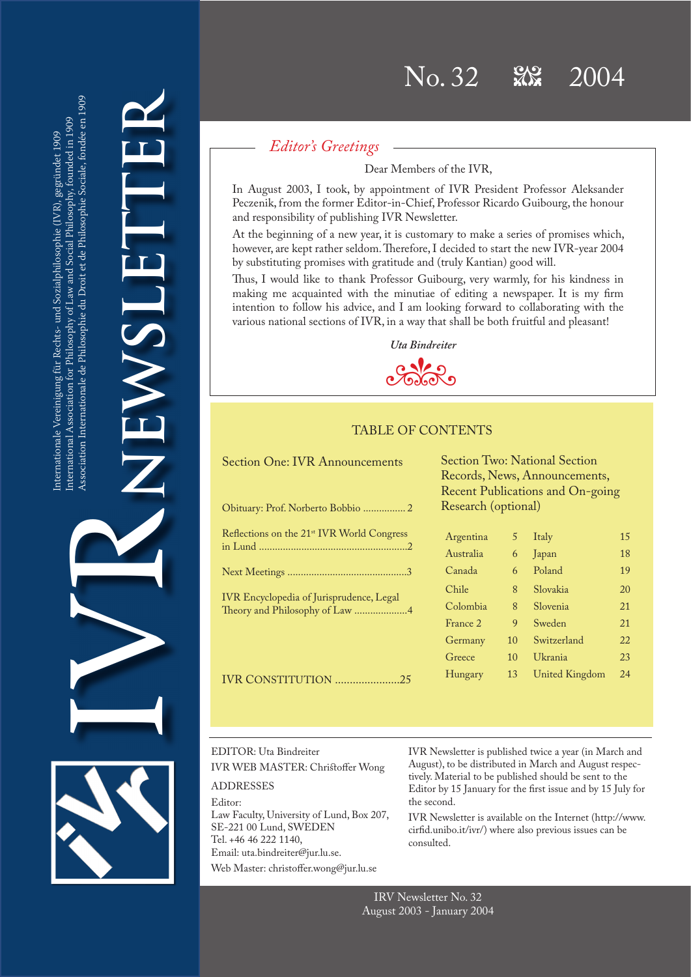Association Internationale de Philosophie du Droit et de Philosophie Sociale, fondée en 1909 Association Internationale de Philosophie du Droit et de Philosophie Sociale, fondée en 1909 nternational Association for Philosophy of Law and Social Philosophy, founded in 1909 International Association for Philosophy of Law and Social Philosophy, founded in 1909 nternationale Vereinigung für Rechts- und Sozialphilosophie (IVR), gegründet 1909 Internationale Vereinigung für Rechts- und Sozialphilosophie (IVR), gegründet 1909 IVR

**NEWSLETTER** NEWSL

# *Editor's Greetings*

Dear Members of the IVR,

In August 2003, I took, by appointment of IVR President Professor Aleksander Peczenik, from the former Editor-in-Chief, Professor Ricardo Guibourg, the honour and responsibility of publishing IVR Newsletter.

At the beginning of a new year, it is customary to make a series of promises which, however, are kept rather seldom. Therefore, I decided to start the new IVR-year 2004 by substituting promises with gratitude and (truly Kantian) good will.

Thus, I would like to thank Professor Guibourg, very warmly, for his kindness in making me acquainted with the minutiae of editing a newspaper. It is my firm intention to follow his advice, and I am looking forward to collaborating with the various national sections of IVR, in a way that shall be both fruitful and pleasant!



# TABLE OF CONTENTS

|  |  |  |  | <b>Section One: IVR Announcements</b> |  |
|--|--|--|--|---------------------------------------|--|
|--|--|--|--|---------------------------------------|--|

| Reflections on the 21 <sup>st</sup> IVR World Congress                            |
|-----------------------------------------------------------------------------------|
|                                                                                   |
| <b>IVR</b> Encyclopedia of Jurisprudence, Legal<br>Theory and Philosophy of Law 4 |
|                                                                                   |
| <b>IVR CONSTITUTION 25</b>                                                        |

Section Two: National Section Records, News, Announcements, Recent Publications and On-going Research (optional)

| Argentina | 5  | Italy          | 15 |
|-----------|----|----------------|----|
| Australia | 6  | Japan          | 18 |
| Canada    | 6  | Poland         | 19 |
| Chile     | 8  | Slovakia       | 20 |
| Colombia  | 8  | Slovenia       | 21 |
| France 2  | 9  | Sweden         | 21 |
| Germany   | 10 | Switzerland    | 22 |
| Greece    | 10 | Ukrania        | 23 |
| Hungary   | 13 | United Kingdom | 24 |
|           |    |                |    |

# EDITOR: Uta Bindreiter IVR WEB MASTER: Christoffer Wong ADDRESSES

Editor: Law Faculty, University of Lund, Box 207, SE-221 00 Lund, SWEDEN Tel. +46 46 222 1140, Email: uta.bindreiter@jur.lu.se. Web Master: christoffer.wong@jur.lu.se

IVR Newsletter is published twice a year (in March and August), to be distributed in March and August respectively. Material to be published should be sent to the Editor by 15 January for the first issue and by 15 July for the second.

IVR Newsletter is available on the Internet (http://www. cirfid.unibo.it/ivr/) where also previous issues can be consulted.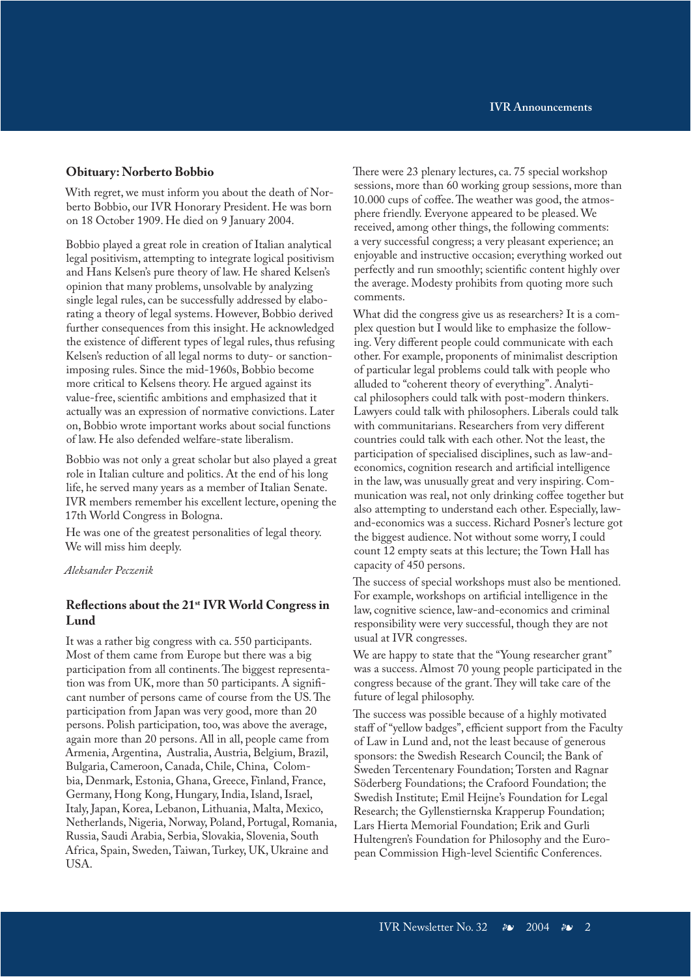### **Obituary: Norberto Bobbio**

With regret, we must inform you about the death of Norberto Bobbio, our IVR Honorary President. He was born on 18 October 1909. He died on 9 January 2004.

Bobbio played a great role in creation of Italian analytical legal positivism, attempting to integrate logical positivism and Hans Kelsen's pure theory of law. He shared Kelsen's opinion that many problems, unsolvable by analyzing single legal rules, can be successfully addressed by elaborating a theory of legal systems. However, Bobbio derived further consequences from this insight. He acknowledged the existence of different types of legal rules, thus refusing Kelsen's reduction of all legal norms to duty- or sanctionimposing rules. Since the mid-1960s, Bobbio become more critical to Kelsens theory. He argued against its value-free, scientific ambitions and emphasized that it actually was an expression of normative convictions. Later on, Bobbio wrote important works about social functions of law. He also defended welfare-state liberalism.

Bobbio was not only a great scholar but also played a great role in Italian culture and politics. At the end of his long life, he served many years as a member of Italian Senate. IVR members remember his excellent lecture, opening the 17th World Congress in Bologna.

He was one of the greatest personalities of legal theory. We will miss him deeply.

### *Aleksander Peczenik*

### **Reflections about the 21st IVR World Congress in Lund**

It was a rather big congress with ca. 550 participants. Most of them came from Europe but there was a big participation from all continents. The biggest representation was from UK, more than 50 participants. A significant number of persons came of course from the US. The participation from Japan was very good, more than 20 persons. Polish participation, too, was above the average, again more than 20 persons. All in all, people came from Armenia, Argentina, Australia, Austria, Belgium, Brazil, Bulgaria, Cameroon, Canada, Chile, China, Colombia, Denmark, Estonia, Ghana, Greece, Finland, France, Germany, Hong Kong, Hungary, India, Island, Israel, Italy, Japan, Korea, Lebanon, Lithuania, Malta, Mexico, Netherlands, Nigeria, Norway, Poland, Portugal, Romania, Russia, Saudi Arabia, Serbia, Slovakia, Slovenia, South Africa, Spain, Sweden, Taiwan, Turkey, UK, Ukraine and USA.

There were 23 plenary lectures, ca. 75 special workshop sessions, more than 60 working group sessions, more than 10.000 cups of coffee. The weather was good, the atmosphere friendly. Everyone appeared to be pleased. We received, among other things, the following comments: a very successful congress; a very pleasant experience; an enjoyable and instructive occasion; everything worked out perfectly and run smoothly; scientific content highly over the average. Modesty prohibits from quoting more such comments.

What did the congress give us as researchers? It is a complex question but I would like to emphasize the following. Very different people could communicate with each other. For example, proponents of minimalist description of particular legal problems could talk with people who alluded to "coherent theory of everything". Analytical philosophers could talk with post-modern thinkers. Lawyers could talk with philosophers. Liberals could talk with communitarians. Researchers from very different countries could talk with each other. Not the least, the participation of specialised disciplines, such as law-andeconomics, cognition research and artificial intelligence in the law, was unusually great and very inspiring. Communication was real, not only drinking coffee together but also attempting to understand each other. Especially, lawand-economics was a success. Richard Posner's lecture got the biggest audience. Not without some worry, I could count 12 empty seats at this lecture; the Town Hall has capacity of 450 persons.

The success of special workshops must also be mentioned. For example, workshops on artificial intelligence in the law, cognitive science, law-and-economics and criminal responsibility were very successful, though they are not usual at IVR congresses.

We are happy to state that the "Young researcher grant" was a success. Almost 70 young people participated in the congress because of the grant. They will take care of the future of legal philosophy.

The success was possible because of a highly motivated staff of "yellow badges", efficient support from the Faculty of Law in Lund and, not the least because of generous sponsors: the Swedish Research Council; the Bank of Sweden Tercentenary Foundation; Torsten and Ragnar Söderberg Foundations; the Crafoord Foundation; the Swedish Institute; Emil Heijne's Foundation for Legal Research; the Gyllenstiernska Krapperup Foundation; Lars Hierta Memorial Foundation; Erik and Gurli Hultengren's Foundation for Philosophy and the European Commission High-level Scientific Conferences.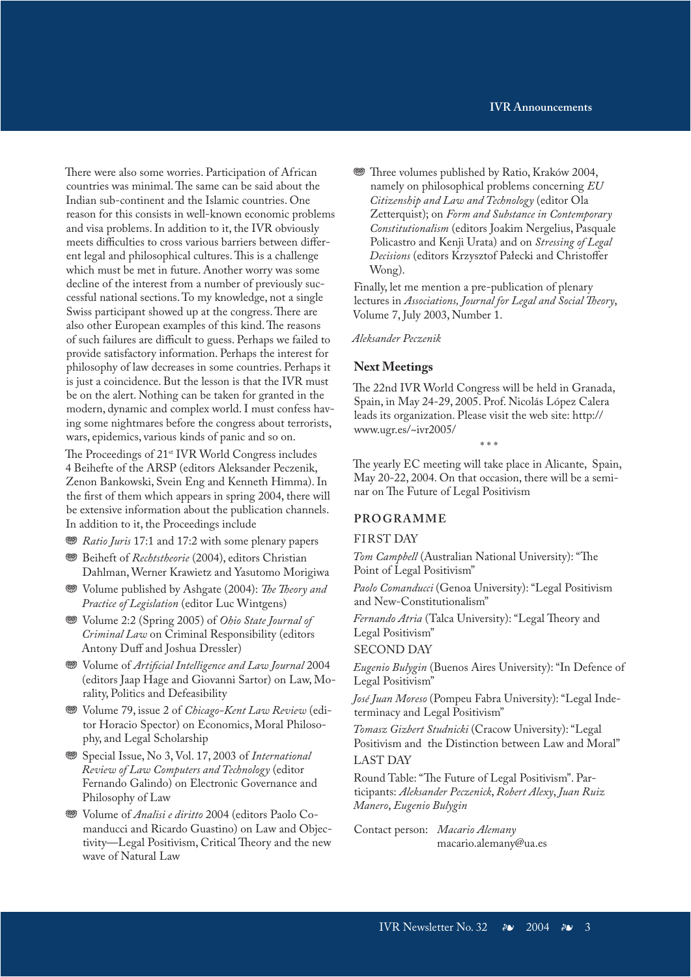There were also some worries. Participation of African countries was minimal. The same can be said about the Indian sub-continent and the Islamic countries. One reason for this consists in well-known economic problems and visa problems. In addition to it, the IVR obviously meets difficulties to cross various barriers between different legal and philosophical cultures. This is a challenge which must be met in future. Another worry was some decline of the interest from a number of previously successful national sections. To my knowledge, not a single Swiss participant showed up at the congress. There are also other European examples of this kind. The reasons of such failures are difficult to guess. Perhaps we failed to provide satisfactory information. Perhaps the interest for philosophy of law decreases in some countries. Perhaps it is just a coincidence. But the lesson is that the IVR must be on the alert. Nothing can be taken for granted in the modern, dynamic and complex world. I must confess having some nightmares before the congress about terrorists, wars, epidemics, various kinds of panic and so on.

The Proceedings of 21st IVR World Congress includes 4 Beihefte of the ARSP (editors Aleksander Peczenik, Zenon Bankowski, Svein Eng and Kenneth Himma). In the first of them which appears in spring 2004, there will be extensive information about the publication channels. In addition to it, the Proceedings include

- $\circledast$  *Ratio Juris* 17:1 and 17:2 with some plenary papers
- **<sup>369</sup>** Beiheft of *Rechtstheorie* (2004), editors Christian Dahlman, Werner Krawietz and Yasutomo Morigiwa
- j Volume published by Ashgate (2004): *The Theory and Practice of Legislation* (editor Luc Wintgens)
- $\circledast$  Volume 2:2 (Spring 2005) of *Ohio State Journal of Criminal Law* on Criminal Responsibility (editors Antony Duff and Joshua Dressler)
- j Volume of *Artificial Intelligence and Law Journal* 2004 (editors Jaap Hage and Giovanni Sartor) on Law, Morality, Politics and Defeasibility
- j Volume 79, issue 2 of *Chicago-Kent Law Review* (editor Horacio Spector) on Economics, Moral Philosophy, and Legal Scholarship
- j Special Issue, No 3, Vol. 17, 2003 of *International Review of Law Computers and Technology* (editor Fernando Galindo) on Electronic Governance and Philosophy of Law
- j Volume of *Analisi e diritto* 2004 (editors Paolo Comanducci and Ricardo Guastino) on Law and Objectivity—Legal Positivism, Critical Theory and the new wave of Natural Law

**<sup>35</sup>** Three volumes published by Ratio, Kraków 2004, namely on philosophical problems concerning *EU Citizenship and Law and Technology* (editor Ola Zetterquist); on *Form and Substance in Contemporary Constitutionalism* (editors Joakim Nergelius, Pasquale Policastro and Kenji Urata) and on *Stressing of Legal Decisions* (editors Krzysztof Pałecki and Christoffer Wong).

Finally, let me mention a pre-publication of plenary lectures in *Associations, Journal for Legal and Social Theory*, Volume 7, July 2003, Number 1.

*Aleksander Peczenik*

### **Next Meetings**

The 22nd IVR World Congress will be held in Granada, Spain, in May 24-29, 2005. Prof. Nicolás López Calera leads its organization. Please visit the web site: http:// www.ugr.es/~ivr2005/

\* \* \*

The yearly EC meeting will take place in Alicante, Spain, May 20-22, 2004. On that occasion, there will be a seminar on The Future of Legal Positivism

### **P RO GRAMME**

### FIRST DAY

*Tom Campbell* (Australian National University): "The Point of Legal Positivism"

*Paolo Comanducci* (Genoa University): "Legal Positivism and New-Constitutionalism"

*Fernando Atria* (Talca University): "Legal Theory and Legal Positivism"

SECOND DAY

*Eugenio Bulygin* (Buenos Aires University): "In Defence of Legal Positivism"

*José Juan Moreso* (Pompeu Fabra University): "Legal Indeterminacy and Legal Positivism"

*Tomasz Gizbert Studnicki* (Cracow University): "Legal Positivism and the Distinction between Law and Moral" LAST DAY

Round Table: "The Future of Legal Positivism". Participants: *Aleksander Peczenick*, *Robert Alexy*, *Juan Ruiz Manero*, *Eugenio Bulygin*

Contact person: *Macario Alemany* macario.alemany@ua.es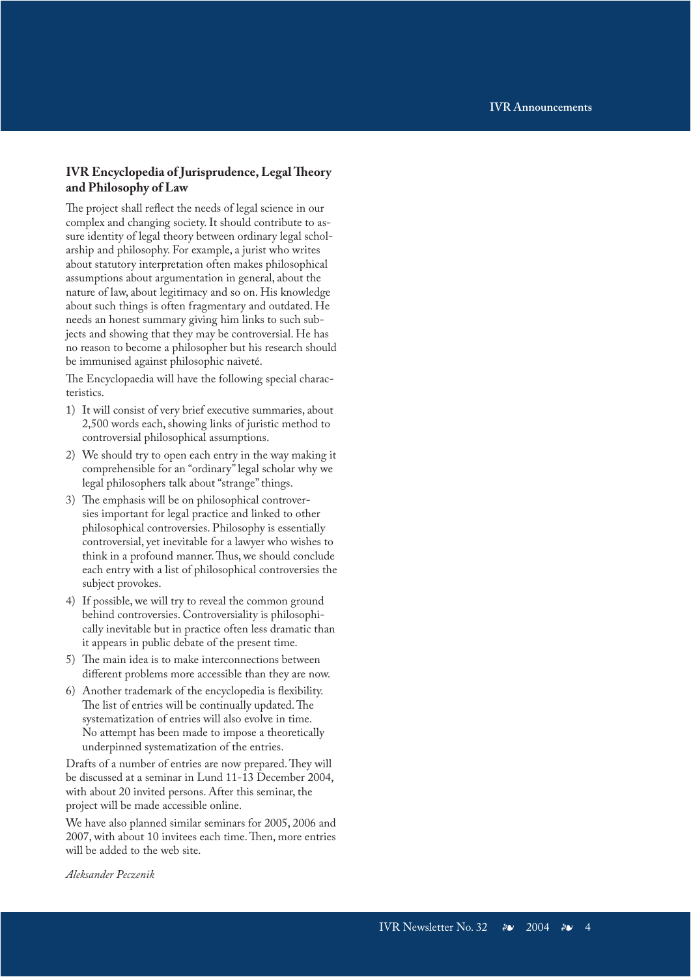### **IVR Encyclopedia of Jurisprudence, Legal Theory and Philosophy of Law**

The project shall reflect the needs of legal science in our complex and changing society. It should contribute to assure identity of legal theory between ordinary legal scholarship and philosophy. For example, a jurist who writes about statutory interpretation often makes philosophical assumptions about argumentation in general, about the nature of law, about legitimacy and so on. His knowledge about such things is often fragmentary and outdated. He needs an honest summary giving him links to such subjects and showing that they may be controversial. He has no reason to become a philosopher but his research should be immunised against philosophic naiveté.

The Encyclopaedia will have the following special characteristics.

- 1) It will consist of very brief executive summaries, about 2,500 words each, showing links of juristic method to controversial philosophical assumptions.
- 2) We should try to open each entry in the way making it comprehensible for an "ordinary" legal scholar why we legal philosophers talk about "strange" things.
- 3) The emphasis will be on philosophical controversies important for legal practice and linked to other philosophical controversies. Philosophy is essentially controversial, yet inevitable for a lawyer who wishes to think in a profound manner. Thus, we should conclude each entry with a list of philosophical controversies the subject provokes.
- 4) If possible, we will try to reveal the common ground behind controversies. Controversiality is philosophically inevitable but in practice often less dramatic than it appears in public debate of the present time.
- 5) The main idea is to make interconnections between different problems more accessible than they are now.
- 6) Another trademark of the encyclopedia is flexibility. The list of entries will be continually updated. The systematization of entries will also evolve in time. No attempt has been made to impose a theoretically underpinned systematization of the entries.

Drafts of a number of entries are now prepared. They will be discussed at a seminar in Lund 11-13 December 2004, with about 20 invited persons. After this seminar, the project will be made accessible online.

We have also planned similar seminars for 2005, 2006 and 2007, with about 10 invitees each time. Then, more entries will be added to the web site.

*Aleksander Peczenik*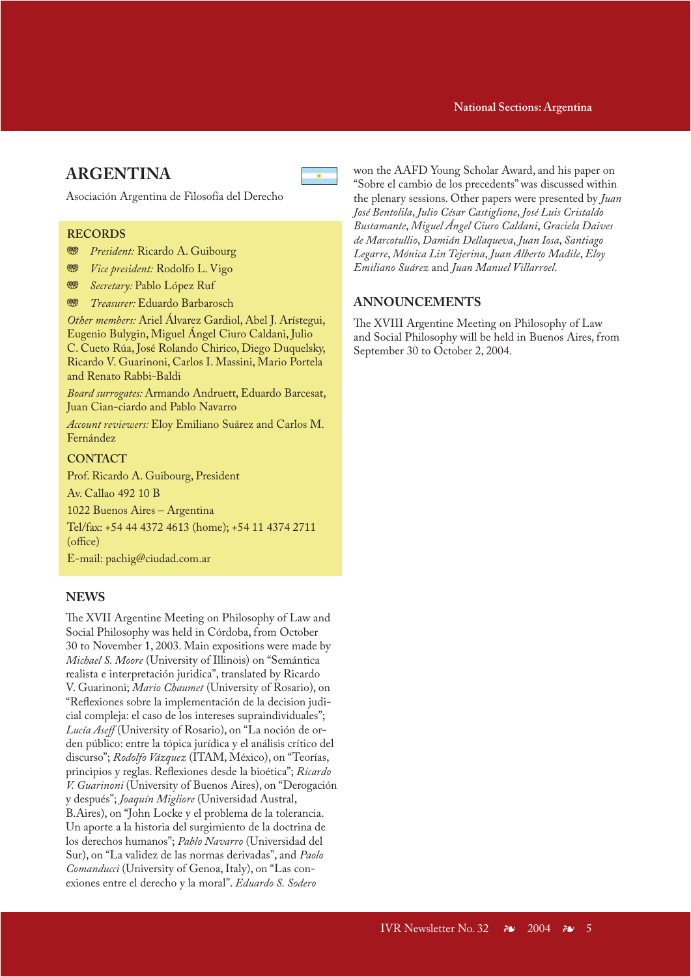### **IVR Announcements National Sections: Argentina**

# **ARGENTINA**

Asociación Argentina de Filosofía del Derecho

### **RECORDS**

- **<sup>35</sup>** *President:* Ricardo A. Guibourg
- **<sup>88</sup>** *Vice president:* Rodolfo L. Vigo
- **<sup>88</sup>** *Secretary: Pablo López Ruf*
- **<sup>35</sup>** *Treasurer:* Eduardo Barbarosch

*Other members:* Ariel Álvarez Gardiol, Abel J. Arístegui, Eugenio Bulygin, Miguel Ángel Ciuro Caldani, Julio C. Cueto Rúa, José Rolando Chirico, Diego Duquelsky, Ricardo V. Guarinoni, Carlos I. Massini, Mario Portela and Renato Rabbi-Baldi

*Board surrogates:* Armando Andruett, Eduardo Barcesat, Juan Cian-ciardo and Pablo Navarro

*Account reviewers:* Eloy Emiliano Suárez and Carlos M. Fernández

### **CONTACT**

Prof. Ricardo A. Guibourg, President

Av. Callao 492 10 B

1022 Buenos Aires – Argentina

Tel/fax: +54 44 4372 4613 (home); +54 11 4374 2711 (office)

E-mail: pachig@ciudad.com.ar

### **NEWS**

The XVII Argentine Meeting on Philosophy of Law and Social Philosophy was held in Córdoba, from October 30 to November 1, 2003. Main expositions were made by *Michael S. Moore* (University of Illinois) on "Semántica realista e interpretación juridica", translated by Ricardo V. Guarinoni; *Mario Chaumet* (University of Rosario), on "Reflexiones sobre la implementación de la decision judicial compleja: el caso de los intereses supraindividuales"; *Lucía Aseff* (University of Rosario), on "La noción de orden público: entre la tópica jurídica y el análisis crítico del discurso"; *Rodolfo Vázquez* (ITAM, México), on "Teorías, principios y reglas. Reflexiones desde la bioética"; *Ricardo V. Guarinoni* (University of Buenos Aires), on "Derogación y después"; *Joaquín Migliore* (Universidad Austral, B.Aires), on "John Locke y el problema de la tolerancia. Un aporte a la historia del surgimiento de la doctrina de los derechos humanos"; *Pablo Navarro* (Universidad del Sur), on "La validez de las normas derivadas", and *Paolo Comanducci* (University of Genoa, Italy), on "Las conexiones entre el derecho y la moral". *Eduardo S. Sodero* 

won the AAFD Young Scholar Award, and his paper on "Sobre el cambio de los precedents" was discussed within the plenary sessions. Other papers were presented by *Juan José Bentolila*, *Julio César Castiglione*, *José Luis Cristaldo Bustamante*, *Miguel Ángel Ciuro Caldani*, *Graciela Daives de Marcotullio*, *Damián Dellaqueva*, *Juan Iosa*, *Santiago Legarre*, *Mónica Lin Tejerina*, *Juan Alberto Madile*, *Eloy Emiliano Suárez* and *Juan Manuel Villarroel*.

# **ANNOUNCEMENTS**

The XVIII Argentine Meeting on Philosophy of Law and Social Philosophy will be held in Buenos Aires, from September 30 to October 2, 2004.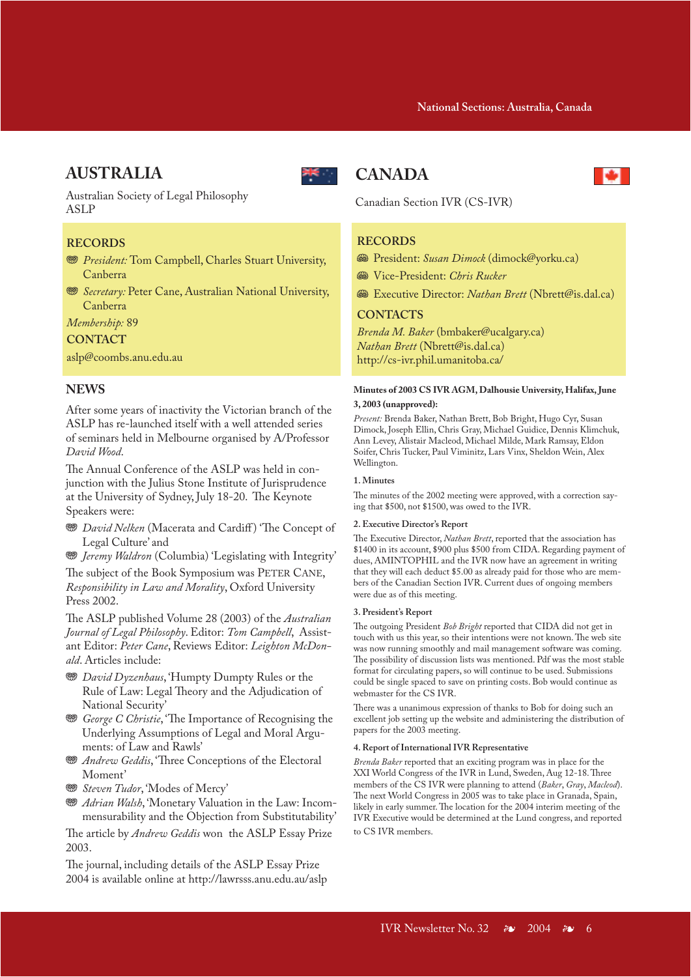# **AUSTRALIA**



Australian Society of Legal Philosophy ASLP

### **RECORDS**

- **<sup>35</sup>** *President:* Tom Campbell, Charles Stuart University, Canberra
- **WE** Secretary: Peter Cane, Australian National University, Canberra

*Membership:* 89

### **CONTACT**

aslp@coombs.anu.edu.au

### **NEWS**

After some years of inactivity the Victorian branch of the ASLP has re-launched itself with a well attended series of seminars held in Melbourne organised by A/Professor *David Wood*.

The Annual Conference of the ASLP was held in conjunction with the Julius Stone Institute of Jurisprudence at the University of Sydney, July 18-20. The Keynote Speakers were:

- **<sup>35</sup>** *David Nelken* (Macerata and Cardiff) 'The Concept of Legal Culture' and
- **<sup>88</sup>** *Jeremy Waldron* (Columbia) 'Legislating with Integrity'

The subject of the Book Symposium was PETER CANE, *Responsibility in Law and Morality*, Oxford University Press 2002.

The ASLP published Volume 28 (2003) of the *Australian Journal of Legal Philosophy*. Editor: *Tom Campbell*, Assistant Editor: *Peter Cane*, Reviews Editor: *Leighton McDonald*. Articles include:

- **<sup>88</sup>** *David Dyzenhaus*, 'Humpty Dumpty Rules or the Rule of Law: Legal Theory and the Adjudication of National Security'
- **<sup>35</sup>** *George C Christie*, 'The Importance of Recognising the Underlying Assumptions of Legal and Moral Arguments: of Law and Rawls'
- **WE** Andrew Geddis, 'Three Conceptions of the Electoral Moment'
- **<sup>889</sup>** Steven Tudor, 'Modes of Mercy'
- **WE** Adrian Walsh, 'Monetary Valuation in the Law: Incommensurability and the Objection from Substitutability'

The article by *Andrew Geddis* won the ASLP Essay Prize 2003.

The journal, including details of the ASLP Essay Prize 2004 is available online at http://lawrsss.anu.edu.au/aslp

# **CANADA**

Canadian Section IVR (CS-IVR)

### **RECORDS**

- J President: *Susan Dimock* (dimock@yorku.ca)
- $\circledast$  Vice-President: *Chris Rucker*
- J Executive Director: *Nathan Brett* (Nbrett@is.dal.ca)

### **CONTACTS**

*Brenda M. Baker* (bmbaker@ucalgary.ca) *Nathan Brett* (Nbrett@is.dal.ca) http://cs-ivr.phil.umanitoba.ca/

#### **Minutes of 2003 CS IVR AGM, Dalhousie University, Halifax, June 3, 2003 (unapproved):**

*Present:* Brenda Baker, Nathan Brett, Bob Bright, Hugo Cyr, Susan Dimock, Joseph Ellin, Chris Gray, Michael Guidice, Dennis Klimchuk, Ann Levey, Alistair Macleod, Michael Milde, Mark Ramsay, Eldon Soifer, Chris Tucker, Paul Viminitz, Lars Vinx, Sheldon Wein, Alex Wellington.

#### **1. Minutes**

The minutes of the 2002 meeting were approved, with a correction saying that \$500, not \$1500, was owed to the IVR.

#### **2. Executive Director's Report**

The Executive Director, *Nathan Brett*, reported that the association has \$1400 in its account, \$900 plus \$500 from CIDA. Regarding payment of dues, AMINTOPHIL and the IVR now have an agreement in writing that they will each deduct \$5.00 as already paid for those who are members of the Canadian Section IVR. Current dues of ongoing members were due as of this meeting.

#### **3. President's Report**

The outgoing President *Bob Bright* reported that CIDA did not get in touch with us this year, so their intentions were not known. The web site was now running smoothly and mail management software was coming. The possibility of discussion lists was mentioned. Pdf was the most stable format for circulating papers, so will continue to be used. Submissions could be single spaced to save on printing costs. Bob would continue as webmaster for the CS IVR.

There was a unanimous expression of thanks to Bob for doing such an excellent job setting up the website and administering the distribution of papers for the 2003 meeting.

#### **4. Report of International IVR Representative**

*Brenda Baker* reported that an exciting program was in place for the XXI World Congress of the IVR in Lund, Sweden, Aug 12-18. Three members of the CS IVR were planning to attend (*Baker*, *Gray*, *Macleod*). The next World Congress in 2005 was to take place in Granada, Spain, likely in early summer. The location for the 2004 interim meeting of the IVR Executive would be determined at the Lund congress, and reported to CS IVR members.

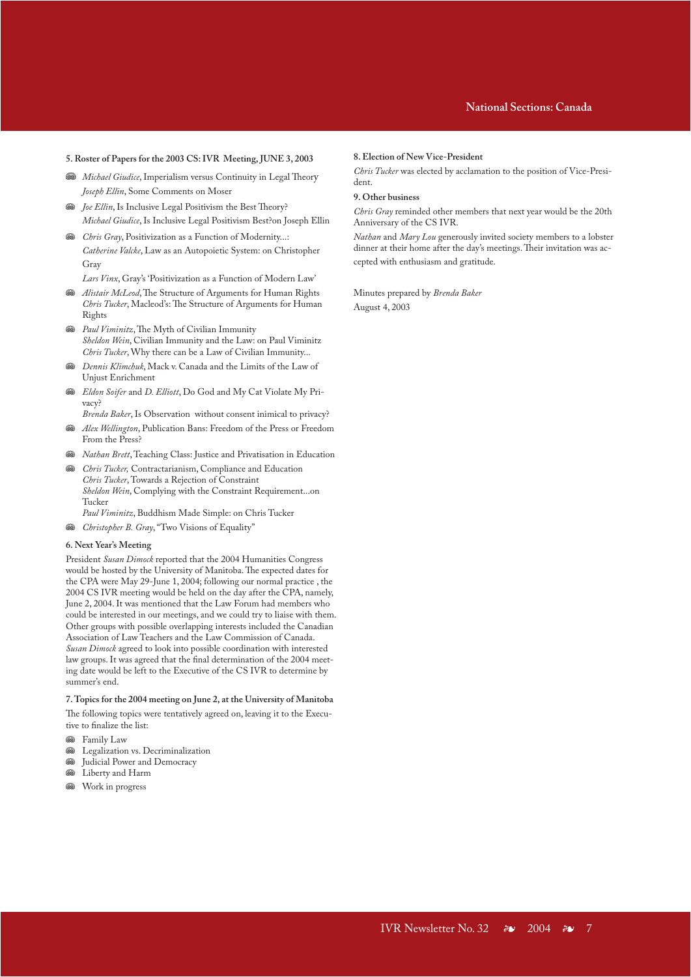### **IVR Announcements National Sections: Canada**

#### **5. Roster of Papers for the 2003 CS: IVR Meeting, JUNE 3, 2003**

- **We** Michael Giudice, Imperialism versus Continuity in Legal Theory *Joseph Ellin*, Some Comments on Moser
- **Subset Joe Ellin, Is Inclusive Legal Positivism the Best Theory?** *Michael Giudice*, Is Inclusive Legal Positivism Best?on Joseph Ellin
- **GB** *Chris Gray*, Positivization as a Function of Modernity...: *Catherine Valcke*, Law as an Autopoietic System: on Christopher Gray

*Lars Vinx*, Gray's 'Positivization as a Function of Modern Law'

- **<sup>38</sup>** *Alistair McLeod*, The Structure of Arguments for Human Rights *Chris Tucker*, Macleod's: The Structure of Arguments for Human Rights
- $\otimes$  *Paul Viminitz*, The Myth of Civilian Immunity *Sheldon Wein*, Civilian Immunity and the Law: on Paul Viminitz *Chris Tucker*, Why there can be a Law of Civilian Immunity...
- J *Dennis Klimchuk*, Mack v. Canada and the Limits of the Law of Unjust Enrichment
- J *Eldon Soifer* and *D. Elliott*, Do God and My Cat Violate My Privacy?
	- *Brenda Baker*, Is Observation without consent inimical to privacy?
- J *Alex Wellington*, Publication Bans: Freedom of the Press or Freedom From the Press?
- **&** *Nathan Brett*, Teaching Class: Justice and Privatisation in Education
- **&** *Chris Tucker*, Contractarianism, Compliance and Education *Chris Tucker*, Towards a Rejection of Constraint *Sheldon Wein*, Complying with the Constraint Requirement...on Tucker
- *Paul Viminitz*, Buddhism Made Simple: on Chris Tucker
- Christopher B. Gray, "Two Visions of Equality"

#### **6. Next Year's Meeting**

President *Susan Dimock* reported that the 2004 Humanities Congress would be hosted by the University of Manitoba. The expected dates for the CPA were May 29-June 1, 2004; following our normal practice , the 2004 CS IVR meeting would be held on the day after the CPA, namely, June 2, 2004. It was mentioned that the Law Forum had members who could be interested in our meetings, and we could try to liaise with them. Other groups with possible overlapping interests included the Canadian Association of Law Teachers and the Law Commission of Canada. *Susan Dimock* agreed to look into possible coordination with interested law groups. It was agreed that the final determination of the 2004 meeting date would be left to the Executive of the CS IVR to determine by summer's end.

#### **7. Topics for the 2004 meeting on June 2, at the University of Manitoba**

The following topics were tentatively agreed on, leaving it to the Executive to finalize the list:

- **So** Family Law
- **Executives** Legalization vs. Decriminalization
- Judicial Power and Democracy
- **S** Liberty and Harm
- **S** Work in progress

#### **8. Election of New Vice-President**

*Chris Tucker* was elected by acclamation to the position of Vice-President.

#### **9. Other business**

*Chris Gray* reminded other members that next year would be the 20th Anniversary of the CS IVR.

*Nathan* and *Mary Lou* generously invited society members to a lobster dinner at their home after the day's meetings. Their invitation was accepted with enthusiasm and gratitude.

Minutes prepared by *Brenda Baker* August 4, 2003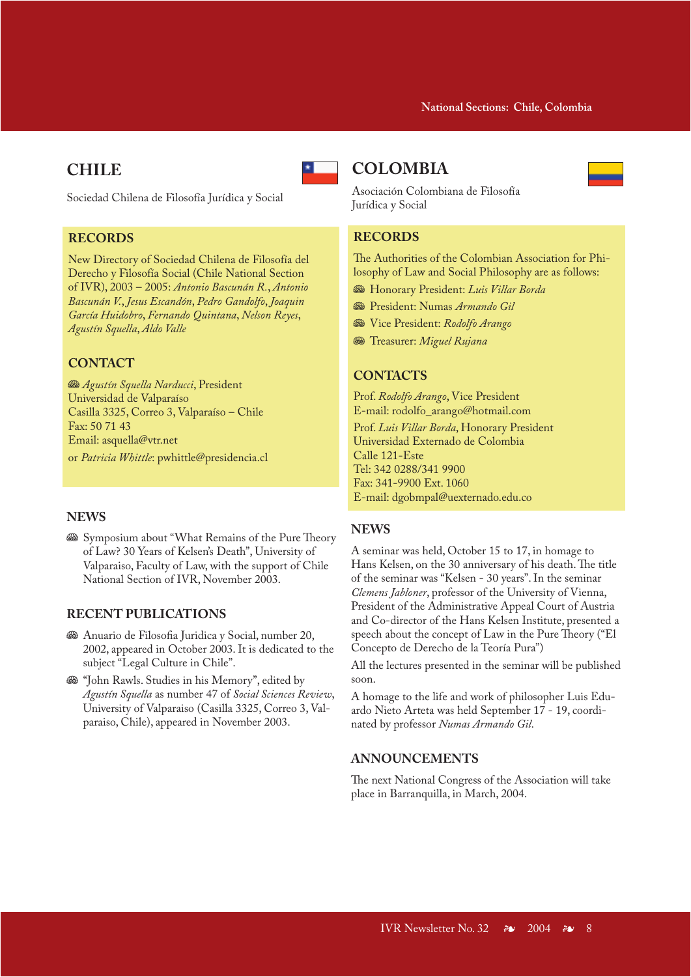# **CHILE**

Sociedad Chilena de Filosofía Jurídica y Social

### **RECORDS**

New Directory of Sociedad Chilena de Filosofía del Derecho y Filosofía Social (Chile National Section of IVR), 2003 – 2005: *Antonio Bascunán R.*, *Antonio Bascunán V.*, *Jesus Escandón*, *Pedro Gandolfo*, *Joaquin García Huidobro*, *Fernando Quintana*, *Nelson Reyes*, *Agustín Squella*, *Aldo Valle*

# **CONTACT**

**<sup>58</sup>** *Agustín Squella Narducci*, President Universidad de Valparaíso Casilla 3325, Correo 3, Valparaíso – Chile Fax: 50 71 43 Email: asquella@vtr.net or *Patricia Whittle*: pwhittle@presidencia.cl

### **NEWS**

Symposium about "What Remains of the Pure Theory of Law? 30 Years of Kelsen's Death", University of Valparaiso, Faculty of Law, with the support of Chile National Section of IVR, November 2003.

### **RECENT PUBLICATIONS**

- <sup>36</sup> Anuario de Filosofia Juridica y Social, number 20, 2002, appeared in October 2003. It is dedicated to the subject "Legal Culture in Chile".
- **S** "John Rawls. Studies in his Memory", edited by *Agustín Squella* as number 47 of *Social Sciences Review*, University of Valparaiso (Casilla 3325, Correo 3, Valparaiso, Chile), appeared in November 2003.

# **COLOMBIA**



### **RECORDS**

The Authorities of the Colombian Association for Philosophy of Law and Social Philosophy are as follows:

- J Honorary President: *Luis Villar Borda*
- J President: Numas *Armando Gil*
- J Vice President: *Rodolfo Arango*
- $\circledast$  Treasurer: *Miguel Rujana*

# **CONTACTS**

Prof. *Rodolfo Arango*, Vice President E-mail: rodolfo\_arango@hotmail.com

Prof. *Luis Villar Borda*, Honorary President Universidad Externado de Colombia Calle 121-Este Tel: 342 0288/341 9900 Fax: 341-9900 Ext. 1060 E-mail: dgobmpal@uexternado.edu.co

### **NEWS**

A seminar was held, October 15 to 17, in homage to Hans Kelsen, on the 30 anniversary of his death. The title of the seminar was "Kelsen - 30 years". In the seminar *Clemens Jabloner*, professor of the University of Vienna, President of the Administrative Appeal Court of Austria and Co-director of the Hans Kelsen Institute, presented a speech about the concept of Law in the Pure Theory ("El Concepto de Derecho de la Teoría Pura")

All the lectures presented in the seminar will be published soon.

A homage to the life and work of philosopher Luis Eduardo Nieto Arteta was held September 17 - 19, coordinated by professor *Numas Armando Gil*.

### **ANNOUNCEMENTS**

The next National Congress of the Association will take place in Barranquilla, in March, 2004.

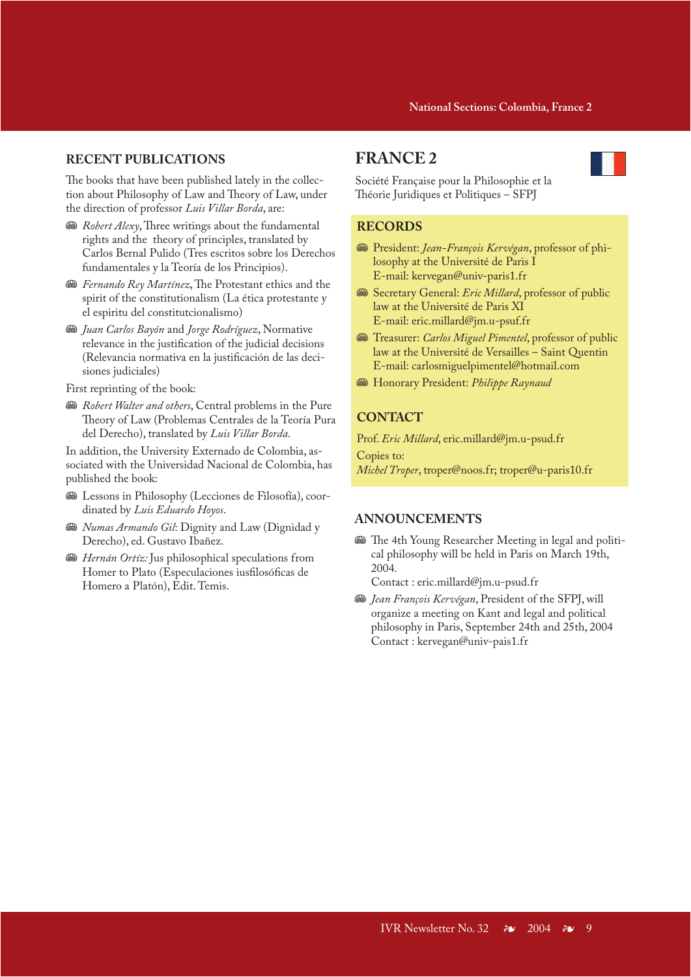# **RECENT PUBLICATIONS**

The books that have been published lately in the collection about Philosophy of Law and Theory of Law, under the direction of professor *Luis Villar Borda*, are:

- **W** Robert Alexy, Three writings about the fundamental rights and the theory of principles, translated by Carlos Bernal Pulido (Tres escritos sobre los Derechos fundamentales y la Teoría de los Principios).
- **<sup>38</sup>** Fernando Rey Martínez, The Protestant ethics and the spirit of the constitutionalism (La ética protestante y el espiritu del constitutcionalismo)
- J *Juan Carlos Bayón* and *Jorge Rodríguez*, Normative relevance in the justification of the judicial decisions (Relevancia normativa en la justificación de las decisiones judiciales)

First reprinting of the book:

 $\mathcal{R}\in\mathbb{R}$  *Robert Walter and others*, Central problems in the Pure Theory of Law (Problemas Centrales de la Teoría Pura del Derecho), translated by *Luis Villar Borda*.

In addition, the University Externado de Colombia, associated with the Universidad Nacional de Colombia, has published the book:

- <sup>36</sup> Lessons in Philosophy (Lecciones de Filosofía), coordinated by *Luis Eduardo Hoyos*.
- **<sup>56</sup>** *Numas Armando Gil*: Dignity and Law (Dignidad y Derecho), ed. Gustavo Ibañez.
- **Subset Hernán Ortíz:** Jus philosophical speculations from Homer to Plato (Especulaciones iusfilosóficas de Homero a Platón), Edit. Temis.

# **FRANCE 2**



Société Française pour la Philosophie et la Théorie Juridiques et Politiques – SFPJ

### **RECORDS**

- J President: *Jean-François Kervégan*, professor of philosophy at the Université de Paris I E-mail: kervegan@univ-paris1.fr
- **We Secretary General: Eric Millard, professor of public** law at the Université de Paris XI E-mail: eric.millard@jm.u-psuf.fr
- **<sup>38</sup>** Treasurer: *Carlos Miguel Pimentel*, professor of public law at the Université de Versailles – Saint Quentin E-mail: carlosmiguelpimentel@hotmail.com
- **<sup>38</sup>** Honorary President: *Philippe Raynaud*

# **CONTACT**

Prof. *Eric Millard*, eric.millard@jm.u-psud.fr

Copies to: *Michel Troper*, troper@noos.fr; troper@u-paris10.fr

# **ANNOUNCEMENTS**

 $\mathcal{F}$  The 4th Young Researcher Meeting in legal and political philosophy will be held in Paris on March 19th, 2004.

Contact : eric.millard@jm.u-psud.fr

**<sup>38</sup>** Jean François Kervégan, President of the SFPJ, will organize a meeting on Kant and legal and political philosophy in Paris, September 24th and 25th, 2004 Contact : kervegan@univ-pais1.fr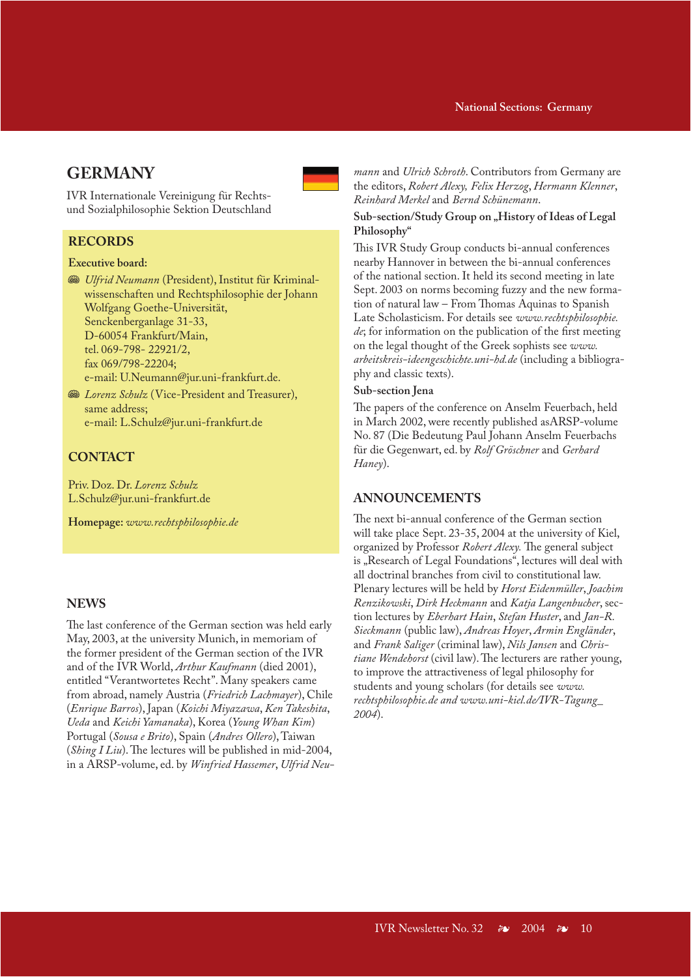### **National Sections: Germany**

# **GERMANY**

IVR Internationale Vereinigung für Rechtsund Sozialphilosophie Sektion Deutschland

### **RECORDS**

### **Executive board:**

**W** Ulfrid Neumann (President), Institut für Kriminalwissenschaften und Rechtsphilosophie der Johann Wolfgang Goethe-Universität, Senckenberganlage 31-33, D-60054 Frankfurt/Main, tel. 069-798- 22921/2, fax 069/798-22204; e-mail: U.Neumann@jur.uni-frankfurt.de.

**WE** Lorenz Schulz (Vice-President and Treasurer), same address; e-mail: L.Schulz@jur.uni-frankfurt.de

# **CONTACT**

Priv. Doz. Dr. *Lorenz Schulz* L.Schulz@jur.uni-frankfurt.de

**Homepage:** *www.rechtsphilosophie.de*

### **NEWS**

The last conference of the German section was held early May, 2003, at the university Munich, in memoriam of the former president of the German section of the IVR and of the IVR World, *Arthur Kaufmann* (died 2001), entitled "Verantwortetes Recht". Many speakers came from abroad, namely Austria (*Friedrich Lachmayer*), Chile (*Enrique Barros*), Japan (*Koichi Miyazawa*, *Ken Takeshita*, *Ueda* and *Keichi Yamanaka*), Korea (*Young Whan Kim*) Portugal (*Sousa e Brito*), Spain (*Andres Ollero*), Taiwan (*Shing I Liu*). The lectures will be published in mid-2004, in a ARSP-volume, ed. by *Winfried Hassemer*, *Ulfrid Neu-* *mann* and *Ulrich Schroth*. Contributors from Germany are the editors, *Robert Alexy, Felix Herzog*, *Hermann Klenner*, *Reinhard Merkel* and *Bernd Schünemann*.

### Sub-section/Study Group on "History of Ideas of Legal **Philosophy"**

This IVR Study Group conducts bi-annual conferences nearby Hannover in between the bi-annual conferences of the national section. It held its second meeting in late Sept. 2003 on norms becoming fuzzy and the new formation of natural law – From Thomas Aquinas to Spanish Late Scholasticism. For details see *www.rechtsphilosophie. de*; for information on the publication of the first meeting on the legal thought of the Greek sophists see *www. arbeitskreis-ideengeschichte.uni-hd.de* (including a bibliography and classic texts).

### **Sub-section Jena**

The papers of the conference on Anselm Feuerbach, held in March 2002, were recently published asARSP-volume No. 87 (Die Bedeutung Paul Johann Anselm Feuerbachs für die Gegenwart, ed. by *Rolf Gröschner* and *Gerhard Haney*).

### **ANNOUNCEMENTS**

The next bi-annual conference of the German section will take place Sept. 23-35, 2004 at the university of Kiel, organized by Professor *Robert Alexy.* The general subject is "Research of Legal Foundations", lectures will deal with all doctrinal branches from civil to constitutional law. Plenary lectures will be held by *Horst Eidenmüller*, *Joachim Renzikowski*, *Dirk Heckmann* and *Katja Langenbucher*, section lectures by *Eberhart Hain*, *Stefan Huster*, and *Jan-R. Sieckmann* (public law), *Andreas Hoyer*, *Armin Engländer*, and *Frank Saliger* (criminal law), *Nils Jansen* and *Christiane Wendehorst* (civil law). The lecturers are rather young, to improve the attractiveness of legal philosophy for students and young scholars (for details see *www. rechtsphilosophie.de and www.uni-kiel.de/IVR-Tagung\_ 2004*).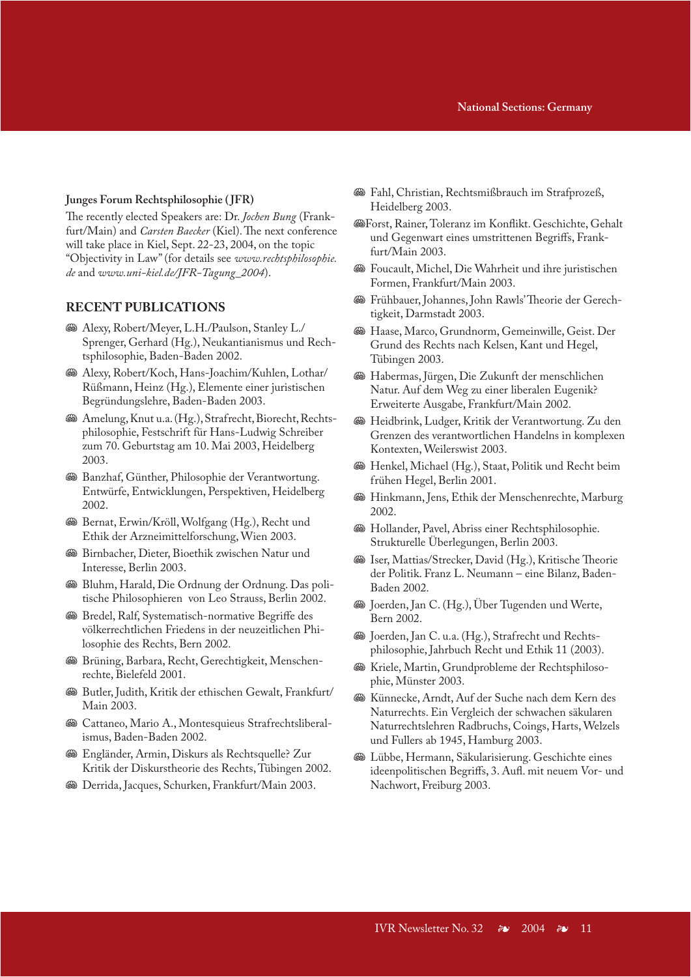### **IVR Announcements National Sections: Germany**

#### **Junges Forum Rechtsphilosophie ( JFR)**

The recently elected Speakers are: Dr. *Jochen Bung* (Frankfurt/Main) and *Carsten Baecker* (Kiel). The next conference will take place in Kiel, Sept. 22-23, 2004, on the topic "Objectivity in Law" (for details see *www.rechtsphilosophie. de* and *www.uni-kiel.de/JFR-Tagung\_2004*).

### **RECENT PUBLICATIONS**

- **We Alexy, Robert/Meyer, L.H./Paulson, Stanley L./** Sprenger, Gerhard (Hg.), Neukantianismus und Rechtsphilosophie, Baden-Baden 2002.
- J Alexy, Robert/Koch, Hans-Joachim/Kuhlen, Lothar/ Rüßmann, Heinz (Hg.), Elemente einer juristischen Begründungslehre, Baden-Baden 2003.
- $\mathcal{B}$  Amelung, Knut u.a. (Hg.), Strafrecht, Biorecht, Rechtsphilosophie, Festschrift für Hans-Ludwig Schreiber zum 70. Geburtstag am 10. Mai 2003, Heidelberg 2003.
- **SBanzhaf, Günther, Philosophie der Verantwortung.** Entwürfe, Entwicklungen, Perspektiven, Heidelberg 2002.
- J Bernat, Erwin/Kröll, Wolfgang (Hg.), Recht und Ethik der Arzneimittelforschung, Wien 2003.
- **Subsemier, Dieter, Bioethik zwischen Natur und** Interesse, Berlin 2003.
- <sup>98</sup> Bluhm, Harald, Die Ordnung der Ordnung. Das politische Philosophieren von Leo Strauss, Berlin 2002.
- $\circledast$  Bredel, Ralf, Systematisch-normative Begriffe des völkerrechtlichen Friedens in der neuzeitlichen Philosophie des Rechts, Bern 2002.
- **W** Brüning, Barbara, Recht, Gerechtigkeit, Menschenrechte, Bielefeld 2001.
- $\circledast$  Butler, Judith, Kritik der ethischen Gewalt, Frankfurt/ Main 2003.
- **W** Cattaneo, Mario A., Montesquieus Strafrechtsliberalismus, Baden-Baden 2002.
- J Engländer, Armin, Diskurs als Rechtsquelle? Zur Kritik der Diskurstheorie des Rechts, Tübingen 2002.
- **W** Derrida, Jacques, Schurken, Frankfurt/Main 2003.
- J Fahl, Christian, Rechtsmißbrauch im Strafprozeß, Heidelberg 2003.
- JForst, Rainer, Toleranz im Konflikt. Geschichte, Gehalt und Gegenwart eines umstrittenen Begriffs, Frankfurt/Main 2003.
- J Foucault, Michel, Die Wahrheit und ihre juristischen Formen, Frankfurt/Main 2003.
- J Frühbauer, Johannes, John Rawls' Theorie der Gerechtigkeit, Darmstadt 2003.
- **W** Haase, Marco, Grundnorm, Gemeinwille, Geist. Der Grund des Rechts nach Kelsen, Kant und Hegel, Tübingen 2003.
- **We Habermas, Jürgen, Die Zukunft der menschlichen** Natur. Auf dem Weg zu einer liberalen Eugenik? Erweiterte Ausgabe, Frankfurt/Main 2002.
- **SG** Heidbrink, Ludger, Kritik der Verantwortung. Zu den Grenzen des verantwortlichen Handelns in komplexen Kontexten, Weilerswist 2003.
- $\circledast$  Henkel, Michael (Hg.), Staat, Politik und Recht beim frühen Hegel, Berlin 2001.
- **W** Hinkmann, Jens, Ethik der Menschenrechte, Marburg 2002.
- $\circledast$  Hollander, Pavel, Abriss einer Rechtsphilosophie. Strukturelle Überlegungen, Berlin 2003.
- **SGB** Iser, Mattias/Strecker, David (Hg.), Kritische Theorie der Politik. Franz L. Neumann – eine Bilanz, Baden-Baden 2002.
- **SGE** Joerden, Jan C. (Hg.), Über Tugenden und Werte, Bern 2002.
- **&B** Joerden, Jan C. u.a. (Hg.), Strafrecht und Rechtsphilosophie, Jahrbuch Recht und Ethik 11 (2003).
- $\mathcal{F}$  Kriele, Martin, Grundprobleme der Rechtsphilosophie, Münster 2003.
- **W** Künnecke, Arndt, Auf der Suche nach dem Kern des Naturrechts. Ein Vergleich der schwachen säkularen Naturrechtslehren Radbruchs, Coings, Harts, Welzels und Fullers ab 1945, Hamburg 2003.
- J Lübbe, Hermann, Säkularisierung. Geschichte eines ideenpolitischen Begriffs, 3. Aufl. mit neuem Vor- und Nachwort, Freiburg 2003.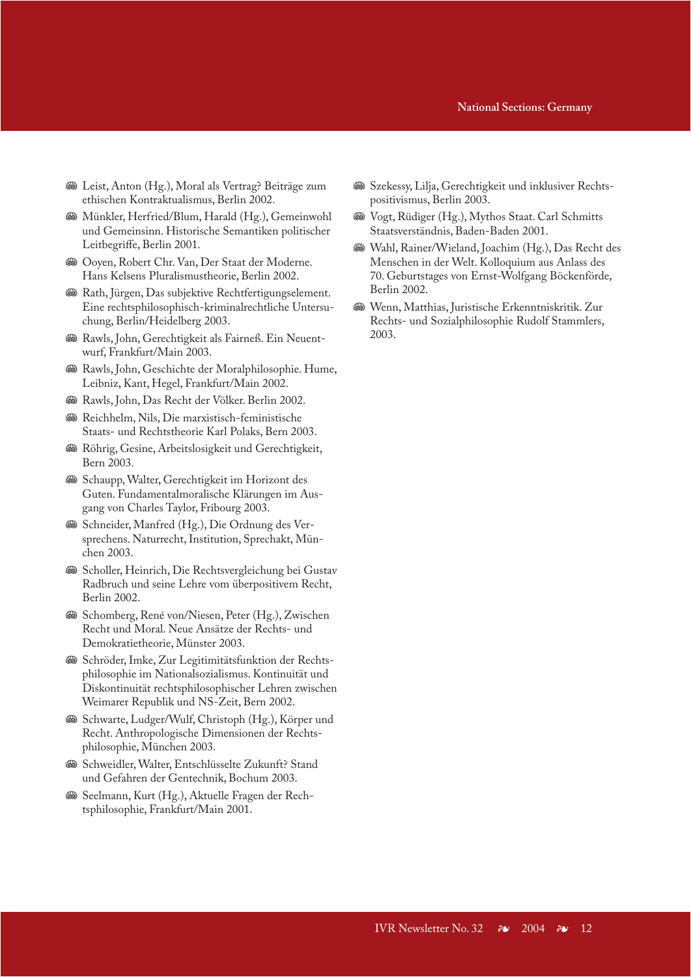### **IVR Announcements National Sections: Germany**

- <sup>38</sup> Leist, Anton (Hg.), Moral als Vertrag? Beiträge zum ethischen Kontraktualismus, Berlin 2002.
- **We Münkler, Herfried/Blum, Harald (Hg.), Gemeinwohl** und Gemeinsinn. Historische Semantiken politischer Leitbegriffe, Berlin 2001.
- J Ooyen, Robert Chr. Van, Der Staat der Moderne. Hans Kelsens Pluralismustheorie, Berlin 2002.
- $\otimes$  Rath, Jürgen, Das subjektive Rechtfertigungselement. Eine rechtsphilosophisch-kriminalrechtliche Untersuchung, Berlin/Heidelberg 2003.
- $\mathcal{B}$  Rawls, John, Gerechtigkeit als Fairneß. Ein Neuentwurf, Frankfurt/Main 2003.
- <sup>36</sup> Rawls, John, Geschichte der Moralphilosophie. Hume, Leibniz, Kant, Hegel, Frankfurt/Main 2002.
- J Rawls, John, Das Recht der Völker. Berlin 2002.
- $\circledast$  Reichhelm, Nils, Die marxistisch-feministische Staats- und Rechtstheorie Karl Polaks, Bern 2003.
- <sup>36</sup> Röhrig, Gesine, Arbeitslosigkeit und Gerechtigkeit, Bern 2003.
- **Schaupp, Walter, Gerechtigkeit im Horizont des** Guten. Fundamentalmoralische Klärungen im Ausgang von Charles Taylor, Fribourg 2003.
- Schneider, Manfred (Hg.), Die Ordnung des Versprechens. Naturrecht, Institution, Sprechakt, München 2003.
- **Scholler, Heinrich, Die Rechtsvergleichung bei Gustav** Radbruch und seine Lehre vom überpositivem Recht, Berlin 2002.
- Schomberg, René von/Niesen, Peter (Hg.), Zwischen Recht und Moral. Neue Ansätze der Rechts- und Demokratietheorie, Münster 2003.
- $\circledast$  Schröder, Imke, Zur Legitimitätsfunktion der Rechtsphilosophie im Nationalsozialismus. Kontinuität und Diskontinuität rechtsphilosophischer Lehren zwischen Weimarer Republik und NS-Zeit, Bern 2002.
- Schwarte, Ludger/Wulf, Christoph (Hg.), Körper und Recht. Anthropologische Dimensionen der Rechtsphilosophie, München 2003.
- **Schweidler, Walter, Entschlüsselte Zukunft? Stand** und Gefahren der Gentechnik, Bochum 2003.
- Seelmann, Kurt (Hg.), Aktuelle Fragen der Rechtsphilosophie, Frankfurt/Main 2001.
- Szekessy, Lilja, Gerechtigkeit und inklusiver Rechtspositivismus, Berlin 2003.
- **We Vogt, Rüdiger (Hg.), Mythos Staat. Carl Schmitts** Staatsverständnis, Baden-Baden 2001.
- J Wahl, Rainer/Wieland, Joachim (Hg.), Das Recht des Menschen in der Welt. Kolloquium aus Anlass des 70. Geburtstages von Ernst-Wolfgang Böckenförde, Berlin 2002.
- **Wenn, Matthias, Juristische Erkenntniskritik. Zur** Rechts- und Sozialphilosophie Rudolf Stammlers, 2003.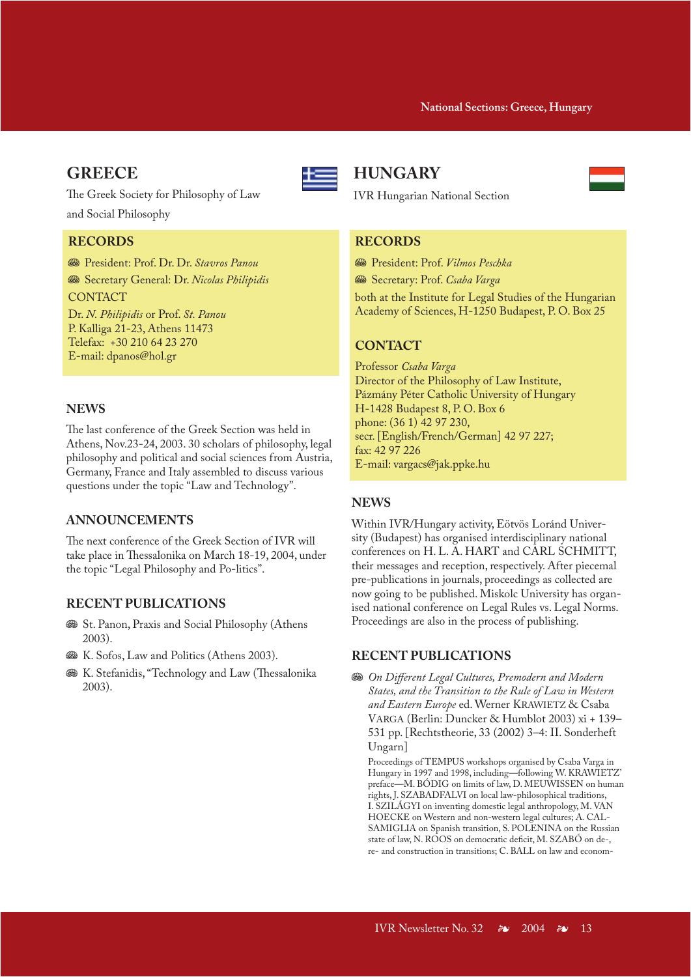# **GREECE**



The Greek Society for Philosophy of Law and Social Philosophy

# **RECORDS**

J President: Prof. Dr. Dr. *Stavros Panou*

**Secretary General: Dr. Nicolas Philipidis CONTACT** 

Dr. *N. Philipidis* or Prof. *St. Panou* P. Kalliga 21-23, Athens 11473 Telefax: +30 210 64 23 270 E-mail: dpanos@hol.gr

# **NEWS**

The last conference of the Greek Section was held in Athens, Nov.23-24, 2003. 30 scholars of philosophy, legal philosophy and political and social sciences from Austria, Germany, France and Italy assembled to discuss various questions under the topic "Law and Technology".

# **ANNOUNCEMENTS**

The next conference of the Greek Section of IVR will take place in Thessalonika on March 18-19, 2004, under the topic "Legal Philosophy and Po-litics".

### **RECENT PUBLICATIONS**

- $\circ$  St. Panon, Praxis and Social Philosophy (Athens 2003).
- $\mathcal{B}$  K. Sofos, Law and Politics (Athens 2003).
- **W** K. Stefanidis, "Technology and Law (Thessalonika 2003).

# **HUNGARY**

IVR Hungarian National Section

# **RECORDS**

J President: Prof. *Vilmos Peschka*

 $\circledast$  Secretary: Prof. *Csaba Varga* 

both at the Institute for Legal Studies of the Hungarian Academy of Sciences, H-1250 Budapest, P. O. Box 25

# **CONTACT**

Professor *Csaba Varga* Director of the Philosophy of Law Institute, Pázmány Péter Catholic University of Hungary H-1428 Budapest 8, P. O. Box 6 phone: (36 1) 42 97 230, secr. [English/French/German] 42 97 227; fax: 42 97 226 E-mail: vargacs@jak.ppke.hu

# **NEWS**

Within IVR/Hungary activity, Eötvös Loránd University (Budapest) has organised interdisciplinary national conferences on H. L. A. HART and CARL SCHMITT, their messages and reception, respectively. After piecemal pre-publications in journals, proceedings as collected are now going to be published. Miskolc University has organised national conference on Legal Rules vs. Legal Norms. Proceedings are also in the process of publishing.

### **RECENT PUBLICATIONS**

**<sup>38</sup>** On Different Legal Cultures, Premodern and Modern *States, and the Transition to the Rule of Law in Western and Eastern Europe* ed. Werner KRAWIETZ & Csaba VARGA (Berlin: Duncker & Humblot 2003) xi + 139– 531 pp. [Rechtstheorie, 33 (2002) 3–4: II. Sonderheft Ungarn]

Proceedings of TEMPUS workshops organised by Csaba Varga in Hungary in 1997 and 1998, including—following W. KRAWIETZ' preface—M. BÓDIG on limits of law, D. MEUWISSEN on human rights, J. SZABADFALVI on local law-philosophical traditions, I. SZILÁGYI on inventing domestic legal anthropology, M. VAN HOECKE on Western and non-western legal cultures; A. CAL-SAMIGLIA on Spanish transition, S. POLENINA on the Russian state of law, N. ROOS on democratic deficit, M. SZABÓ on de-, re- and construction in transitions; C. BALL on law and econom-

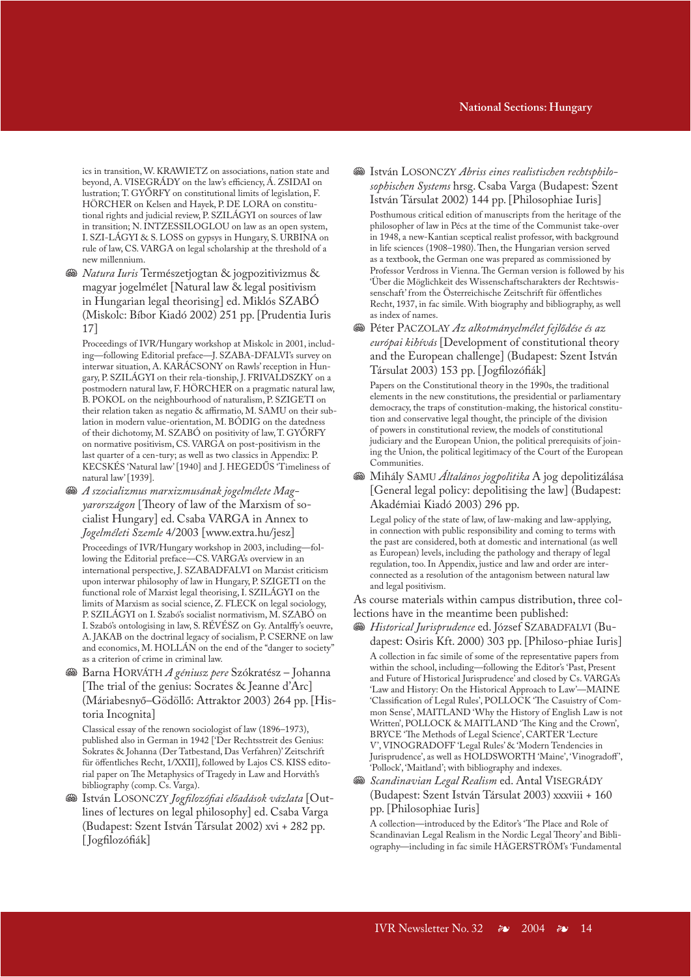ics in transition, W. KRAWIETZ on associations, nation state and beyond, A. VISEGRÁDY on the law's efficiency, Á. ZSIDAI on lustration; T. GYŐRFY on constitutional limits of legislation, F. HÖRCHER on Kelsen and Hayek, P. DE LORA on constitutional rights and judicial review, P. SZILÁGYI on sources of law in transition; N. INTZESSILOGLOU on law as an open system, I. SZI-LÁGYI & S. LOSS on gypsys in Hungary, S. URBINA on rule of law, CS. VARGA on legal scholarship at the threshold of a new millennium.

**W** *Natura Iuris* Természetjogtan & jogpozitivizmus & magyar jogelmélet [Natural law & legal positivism in Hungarian legal theorising] ed. Miklós SZABÓ (Miskolc: Bíbor Kiadó 2002) 251 pp. [Prudentia Iuris 17]

Proceedings of IVR/Hungary workshop at Miskolc in 2001, including—following Editorial preface—J. SZABA-DFALVI's survey on interwar situation, A. KARÁCSONY on Rawls' reception in Hungary, P. SZILÁGYI on their rela-tionship, J. FRIVALDSZKY on a postmodern natural law, F. HÖRCHER on a pragmatic natural law, B. POKOL on the neighbourhood of naturalism, P. SZIGETI on their relation taken as negatio & affirmatio, M. SAMU on their sublation in modern value-orientation, M. BÓDIG on the datedness of their dichotomy, M. SZABÓ on positivity of law, T. GYŐRFY on normative positivism, CS. VARGA on post-positivism in the last quarter of a cen-tury; as well as two classics in Appendix: P. KECSKÉS 'Natural law' [1940] and J. HEGEDŰS 'Timeliness of natural law' [1939].

- **<sup>88</sup> A szocializmus marxizmusának jogelmélete Mag***yarországon* [Theory of law of the Marxism of socialist Hungary] ed. Csaba VARGA in Annex to *Jogelméleti Szemle* 4/2003 [www.extra.hu/jesz] Proceedings of IVR/Hungary workshop in 2003, including—following the Editorial preface—CS. VARGA's overview in an international perspective, J. SZABADFALVI on Marxist criticism upon interwar philosophy of law in Hungary, P. SZIGETI on the functional role of Marxist legal theorising, I. SZILÁGYI on the limits of Marxism as social science, Z. FLECK on legal sociology, P. SZILÁGYI on I. Szabó's socialist normativism, M. SZABÓ on I. Szabó's ontologising in law, S. RÉVÉSZ on Gy. Antalffy's oeuvre, A. JAKAB on the doctrinal legacy of socialism, P. CSERNE on law and economics, M. HOLLÁN on the end of the "danger to society" as a criterion of crime in criminal law.
- J Barna HORVÁTH *A géniusz pere* Szókratész Johanna [The trial of the genius: Socrates & Jeanne d'Arc] (Máriabesnyő–Gödöllő: Attraktor 2003) 264 pp. [Historia Incognita]

Classical essay of the renown sociologist of law (1896–1973), published also in German in 1942 ['Der Rechtsstreit des Genius: Sokrates & Johanna (Der Tatbestand, Das Verfahren)' Zeitschrift für öffentliches Recht, 1/XXII], followed by Lajos CS. KISS editorial paper on The Metaphysics of Tragedy in Law and Horváth's bibliography (comp. Cs. Varga).

J István LOSONCZY *Jogfilozófiai előadások vázlata* [Outlines of lectures on legal philosophy] ed. Csaba Varga (Budapest: Szent István Társulat 2002) xvi + 282 pp. [ Jogfilozófiák]

### **IVR Announcements National Sections: Hungary**

**<sup>88</sup>** István LOSONCZY Abriss eines realistischen rechtsphilo*sophischen Systems* hrsg. Csaba Varga (Budapest: Szent István Társulat 2002) 144 pp. [Philosophiae Iuris]

Posthumous critical edition of manuscripts from the heritage of the philosopher of law in Pécs at the time of the Communist take-over in 1948, a new-Kantian sceptical realist professor, with background in life sciences (1908–1980). Then, the Hungarian version served as a textbook, the German one was prepared as commissioned by Professor Verdross in Vienna. The German version is followed by his 'Über die Möglichkeit des Wissenschaftscharakters der Rechtswissenschaft' from the Österreichische Zeitschrift für öffentliches Recht, 1937, in fac simile. With biography and bibliography, as well as index of names.

J Péter PACZOLAY *Az alkotmányelmélet fejlődése és az európai kihívás* [Development of constitutional theory and the European challenge] (Budapest: Szent István Társulat 2003) 153 pp. [ Jogfilozófiák]

Papers on the Constitutional theory in the 1990s, the traditional elements in the new constitutions, the presidential or parliamentary democracy, the traps of constitution-making, the historical constitution and conservative legal thought, the principle of the division of powers in constitutional review, the models of constitutional judiciary and the European Union, the political prerequisits of joining the Union, the political legitimacy of the Court of the European Communities.

J Mihály SAMU *Általános jogpolitika* A jog depolitizálása [General legal policy: depolitising the law] (Budapest: Akadémiai Kiadó 2003) 296 pp.

Legal policy of the state of law, of law-making and law-applying, in connection with public responsibility and coming to terms with the past are considered, both at domestic and international (as well as European) levels, including the pathology and therapy of legal regulation, too. In Appendix, justice and law and order are interconnected as a resolution of the antagonism between natural law and legal positivism.

As course materials within campus distribution, three collections have in the meantime been published:

J *Historical Jurisprudence* ed. József SZABADFALVI (Budapest: Osiris Kft. 2000) 303 pp. [Philoso-phiae Iuris] A collection in fac simile of some of the representative papers from

within the school, including—following the Editor's 'Past, Present and Future of Historical Jurisprudence' and closed by Cs. VARGA's 'Law and History: On the Historical Approach to Law'—MAINE 'Classification of Legal Rules', POLLOCK 'The Casuistry of Common Sense', MAITLAND 'Why the History of English Law is not Written', POLLOCK & MAITLAND 'The King and the Crown', BRYCE 'The Methods of Legal Science', CARTER 'Lecture V', VINOGRADOFF 'Legal Rules' & 'Modern Tendencies in Jurisprudence', as well as HOLDSWORTH 'Maine', 'Vinogradoff ', 'Pollock', 'Maitland'; with bibliography and indexes.

**<sup>SI</sup>** Scandinavian Legal Realism ed. Antal VISEGRÁDY (Budapest: Szent István Társulat 2003) xxxviii + 160 pp. [Philosophiae Iuris]

A collection—introduced by the Editor's 'The Place and Role of Scandinavian Legal Realism in the Nordic Legal Theory' and Bibliography—including in fac simile HÄGERSTRÖM's 'Fundamental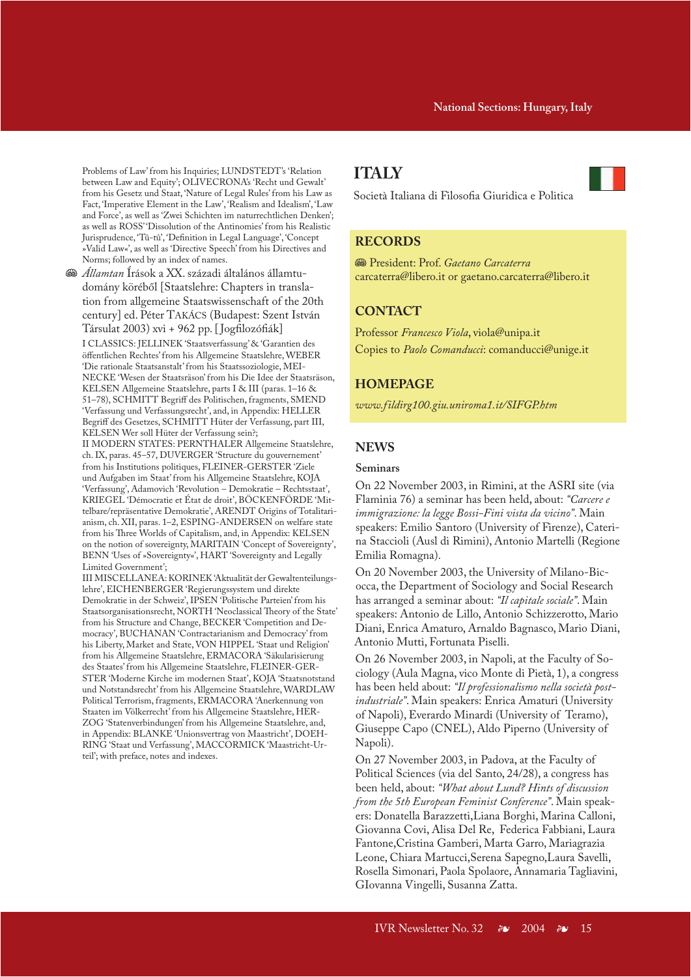Problems of Law' from his Inquiries; LUNDSTEDT's 'Relation between Law and Equity'; OLIVECRONA's 'Recht und Gewalt' from his Gesetz und Staat, 'Nature of Legal Rules' from his Law as Fact, 'Imperative Element in the Law', 'Realism and Idealism', 'Law and Force', as well as 'Zwei Schichten im naturrechtlichen Denken'; as well as ROSS' 'Dissolution of the Antinomies' from his Realistic Jurisprudence, 'Tû-tû', 'Definition in Legal Language', 'Concept »Valid Law«', as well as 'Directive Speech' from his Directives and Norms; followed by an index of names.

J *Államtan* Írások a XX. századi általános államtudomány köréből [Staatslehre: Chapters in translation from allgemeine Staatswissenschaft of the 20th century] ed. Péter TAKÁCS (Budapest: Szent István Társulat 2003) xvi + 962 pp. [ Jogfilozófiák]

I CLASSICS: JELLINEK 'Staatsverfassung' & 'Garantien des öffentlichen Rechtes' from his Allgemeine Staatslehre, WEBER 'Die rationale Staatsanstalt' from his Staatssoziologie, MEI-NECKE 'Wesen der Staatsräson' from his Die Idee der Staatsräson, KELSEN Allgemeine Staatslehre, parts I & III (paras. 1–16 & 51–78), SCHMITT Begriff des Politischen, fragments, SMEND 'Verfassung und Verfassungsrecht', and, in Appendix: HELLER Begriff des Gesetzes, SCHMITT Hüter der Verfassung, part III, KELSEN Wer soll Hüter der Verfassung sein?;

II MODERN STATES: PERNTHALER Allgemeine Staatslehre, ch. IX, paras. 45–57, DUVERGER 'Structure du gouvernement' from his Institutions politiques, FLEINER-GERSTER 'Ziele und Aufgaben im Staat' from his Allgemeine Staatslehre, KOJA 'Verfassung', Adamovich 'Revolution – Demokratie – Rechtsstaat', KRIEGEL 'Démocratie et État de droit', BÖCKENFÖRDE 'Mittelbare/repräsentative Demokratie', ARENDT Origins of Totalitarianism, ch. XII, paras. 1–2, ESPING-ANDERSEN on welfare state from his Three Worlds of Capitalism, and, in Appendix: KELSEN on the notion of sovereignty, MARITAIN 'Concept of Sovereignty', BENN 'Uses of »Sovereignty«', HART 'Sovereignty and Legally Limited Government';

III MISCELLANEA: KORINEK 'Aktualität der Gewaltenteilungslehre', EICHENBERGER 'Regierungssystem und direkte Demokratie in der Schweiz', IPSEN 'Politische Parteien' from his Staatsorganisationsrecht, NORTH 'Neoclassical Theory of the State' from his Structure and Change, BECKER 'Competition and Democracy', BUCHANAN 'Contractarianism and Democracy' from his Liberty, Market and State, VON HIPPEL 'Staat und Religion' from his Allgemeine Staatslehre, ERMACORA 'Säkularisierung des Staates' from his Allgemeine Staatslehre, FLEINER-GER-STER 'Moderne Kirche im modernen Staat', KOJA 'Staatsnotstand und Notstandsrecht' from his Allgemeine Staatslehre, WARDLAW Political Terrorism, fragments, ERMACORA 'Anerkennung von Staaten im Völkerrecht' from his Allgemeine Staatslehre, HER-ZOG 'Statenverbindungen' from his Allgemeine Staatslehre, and, in Appendix: BLANKE 'Unionsvertrag von Maastricht', DOEH-RING 'Staat und Verfassung', MACCORMICK 'Maastricht-Urteil'; with preface, notes and indexes.

# **ITALY**

Società Italiana di Filosofia Giuridica e Politica

# **RECORDS**

J President: Prof. *Gaetano Carcaterra* carcaterra@libero.it or gaetano.carcaterra@libero.it

### **CONTACT**

Professor *Francesco Viola*, viola@unipa.it Copies to *Paolo Comanducci*: comanducci@unige.it

### **HOMEPAGE**

*www.fildirg100.giu.uniroma1.it/SIFGP.htm*

### **NEWS**

### **Seminars**

On 22 November 2003, in Rimini, at the ASRI site (via Flaminia 76) a seminar has been held, about: *"Carcere e immigrazione: la legge Bossi-Fini vista da vicino"*. Main speakers: Emilio Santoro (University of Firenze), Caterina Staccioli (Ausl di Rimini), Antonio Martelli (Regione Emilia Romagna).

On 20 November 2003, the University of Milano-Bicocca, the Department of Sociology and Social Research has arranged a seminar about: *"Il capitale sociale"*. Main speakers: Antonio de Lillo, Antonio Schizzerotto, Mario Diani, Enrica Amaturo, Arnaldo Bagnasco, Mario Diani, Antonio Mutti, Fortunata Piselli.

On 26 November 2003, in Napoli, at the Faculty of Sociology (Aula Magna, vico Monte di Pietà, 1), a congress has been held about: *"Il professionalismo nella società postindustriale"*. Main speakers: Enrica Amaturi (University of Napoli), Everardo Minardi (University of Teramo), Giuseppe Capo (CNEL), Aldo Piperno (University of Napoli).

On 27 November 2003, in Padova, at the Faculty of Political Sciences (via del Santo, 24/28), a congress has been held, about: *"What about Lund? Hints of discussion from the 5th European Feminist Conference"*. Main speakers: Donatella Barazzetti,Liana Borghi, Marina Calloni, Giovanna Covi, Alisa Del Re, Federica Fabbiani, Laura Fantone,Cristina Gamberi, Marta Garro, Mariagrazia Leone, Chiara Martucci,Serena Sapegno,Laura Savelli, Rosella Simonari, Paola Spolaore, Annamaria Tagliavini, GIovanna Vingelli, Susanna Zatta.

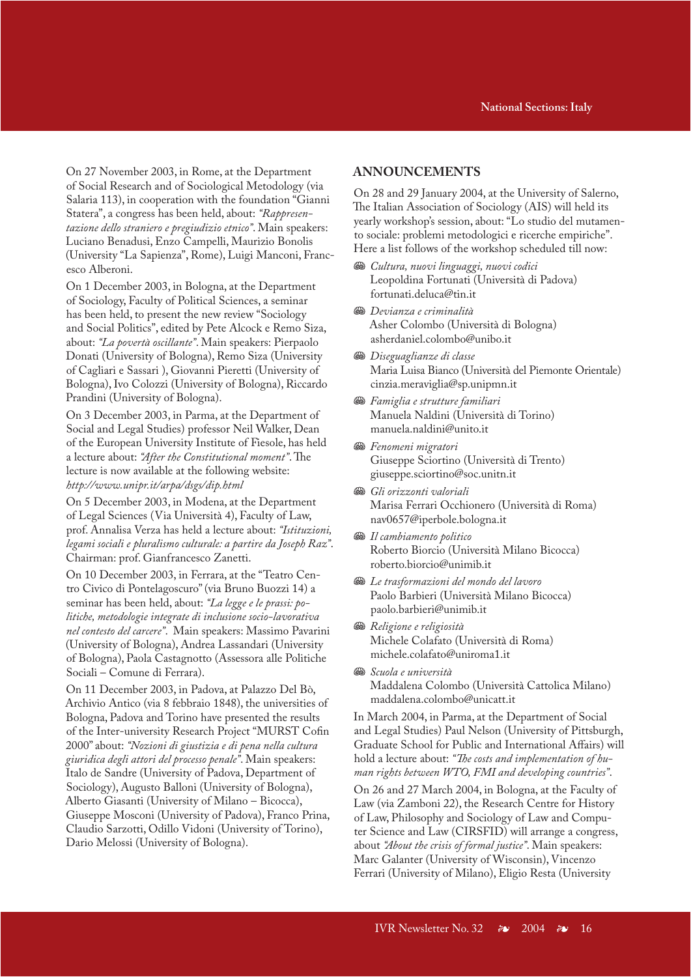On 27 November 2003, in Rome, at the Department of Social Research and of Sociological Metodology (via Salaria 113), in cooperation with the foundation "Gianni Statera", a congress has been held, about: *"Rappresentazione dello straniero e pregiudizio etnico"*. Main speakers: Luciano Benadusi, Enzo Campelli, Maurizio Bonolis (University "La Sapienza", Rome), Luigi Manconi, Francesco Alberoni.

On 1 December 2003, in Bologna, at the Department of Sociology, Faculty of Political Sciences, a seminar has been held, to present the new review "Sociology and Social Politics", edited by Pete Alcock e Remo Siza, about: *"La povertà oscillante"*. Main speakers: Pierpaolo Donati (University of Bologna), Remo Siza (University of Cagliari e Sassari ), Giovanni Pieretti (University of Bologna), Ivo Colozzi (University of Bologna), Riccardo Prandini (University of Bologna).

On 3 December 2003, in Parma, at the Department of Social and Legal Studies) professor Neil Walker, Dean of the European University Institute of Fiesole, has held a lecture about: *"After the Constitutional moment"*. The lecture is now available at the following website: *http://www.unipr.it/arpa/dsgs/dip.html*

On 5 December 2003, in Modena, at the Department of Legal Sciences (Via Università 4), Faculty of Law, prof. Annalisa Verza has held a lecture about: *"Istituzioni, legami sociali e pluralismo culturale: a partire da Joseph Raz"*. Chairman: prof. Gianfrancesco Zanetti.

On 10 December 2003, in Ferrara, at the "Teatro Centro Civico di Pontelagoscuro" (via Bruno Buozzi 14) a seminar has been held, about: *"La legge e le prassi: politiche, metodologie integrate di inclusione socio-lavorativa nel contesto del carcere"*. Main speakers: Massimo Pavarini (University of Bologna), Andrea Lassandari (University of Bologna), Paola Castagnotto (Assessora alle Politiche Sociali – Comune di Ferrara).

On 11 December 2003, in Padova, at Palazzo Del Bò, Archivio Antico (via 8 febbraio 1848), the universities of Bologna, Padova and Torino have presented the results of the Inter-university Research Project "MURST Cofin 2000" about: *"Nozioni di giustizia e di pena nella cultura giuridica degli attori del processo penale"*. Main speakers: Italo de Sandre (University of Padova, Department of Sociology), Augusto Balloni (University of Bologna), Alberto Giasanti (University of Milano – Bicocca), Giuseppe Mosconi (University of Padova), Franco Prina, Claudio Sarzotti, Odillo Vidoni (University of Torino), Dario Melossi (University of Bologna).

### **ANNOUNCEMENTS**

On 28 and 29 January 2004, at the University of Salerno, The Italian Association of Sociology (AIS) will held its yearly workshop's session, about: "Lo studio del mutamento sociale: problemi metodologici e ricerche empiriche". Here a list follows of the workshop scheduled till now:

- $\mathcal{B}$  *Cultura, nuovi linguaggi, nuovi codici* Leopoldina Fortunati (Università di Padova) fortunati.deluca@tin.it
- J *Devianza e criminalità* Asher Colombo (Università di Bologna) asherdaniel.colombo@unibo.it
- J *Diseguaglianze di classe* Maria Luisa Bianco (Università del Piemonte Orientale) cinzia.meraviglia@sp.unipmn.it
- **<sup>88</sup>** Famiglia e strutture familiari Manuela Naldini (Università di Torino) manuela.naldini@unito.it
- **<sup>88</sup>** Fenomeni migratori Giuseppe Sciortino (Università di Trento) giuseppe.sciortino@soc.unitn.it
- $\mathbb{R}$  *Gli orizzonti valoriali* Marisa Ferrari Occhionero (Università di Roma) nav0657@iperbole.bologna.it
- **<sup>88</sup>** Il cambiamento politico Roberto Biorcio (Università Milano Bicocca) roberto.biorcio@unimib.it
- $\mathcal{R}$  *Le trasformazioni del mondo del lavoro* Paolo Barbieri (Università Milano Bicocca) paolo.barbieri@unimib.it
- **<sup>38</sup>** Religione e religiosità Michele Colafato (Università di Roma) michele.colafato@uniroma1.it
- **SB** *Scuola e università* Maddalena Colombo (Università Cattolica Milano) maddalena.colombo@unicatt.it

In March 2004, in Parma, at the Department of Social and Legal Studies) Paul Nelson (University of Pittsburgh, Graduate School for Public and International Affairs) will hold a lecture about: *"The costs and implementation of human rights between WTO, FMI and developing countries"*.

On 26 and 27 March 2004, in Bologna, at the Faculty of Law (via Zamboni 22), the Research Centre for History of Law, Philosophy and Sociology of Law and Computer Science and Law (CIRSFID) will arrange a congress, about *"About the crisis of formal justice"*. Main speakers: Marc Galanter (University of Wisconsin), Vincenzo Ferrari (University of Milano), Eligio Resta (University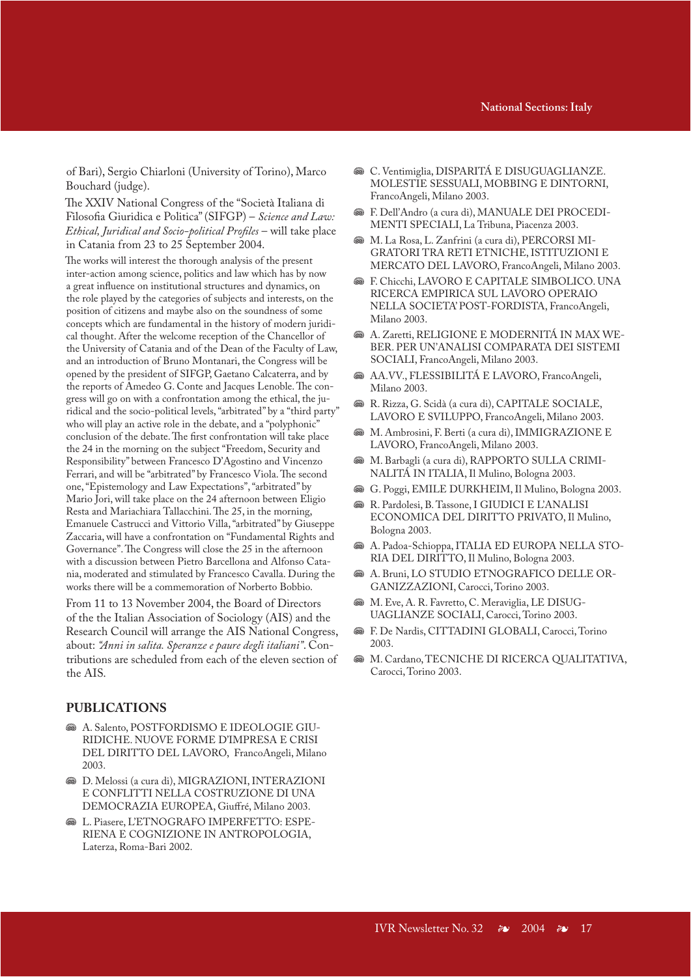of Bari), Sergio Chiarloni (University of Torino), Marco Bouchard (judge).

The XXIV National Congress of the "Società Italiana di Filosofia Giuridica e Politica" (SIFGP) – *Science and Law: Ethical, Juridical and Socio-political Profiles* – will take place in Catania from 23 to 25 September 2004.

The works will interest the thorough analysis of the present inter-action among science, politics and law which has by now a great influence on institutional structures and dynamics, on the role played by the categories of subjects and interests, on the position of citizens and maybe also on the soundness of some concepts which are fundamental in the history of modern juridical thought. After the welcome reception of the Chancellor of the University of Catania and of the Dean of the Faculty of Law, and an introduction of Bruno Montanari, the Congress will be opened by the president of SIFGP, Gaetano Calcaterra, and by the reports of Amedeo G. Conte and Jacques Lenoble. The congress will go on with a confrontation among the ethical, the juridical and the socio-political levels, "arbitrated" by a "third party" who will play an active role in the debate, and a "polyphonic" conclusion of the debate. The first confrontation will take place the 24 in the morning on the subject "Freedom, Security and Responsibility" between Francesco D'Agostino and Vincenzo Ferrari, and will be "arbitrated" by Francesco Viola. The second one, "Epistemology and Law Expectations", "arbitrated" by Mario Jori, will take place on the 24 afternoon between Eligio Resta and Mariachiara Tallacchini. The 25, in the morning, Emanuele Castrucci and Vittorio Villa, "arbitrated" by Giuseppe Zaccaria, will have a confrontation on "Fundamental Rights and Governance". The Congress will close the 25 in the afternoon with a discussion between Pietro Barcellona and Alfonso Catania, moderated and stimulated by Francesco Cavalla. During the works there will be a commemoration of Norberto Bobbio.

From 11 to 13 November 2004, the Board of Directors of the the Italian Association of Sociology (AIS) and the Research Council will arrange the AIS National Congress, about: *"Anni in salita. Speranze e paure degli italiani"*. Contributions are scheduled from each of the eleven section of the AIS.

### **PUBLICATIONS**

- $\circledast$  A. Salento, POSTFORDISMO E IDEOLOGIE GIU-RIDICHE. NUOVE FORME D'IMPRESA E CRISI DEL DIRITTO DEL LAVORO, FrancoAngeli, Milano 2003.
- **<sup>36</sup>** D. Melossi (a cura di), MIGRAZIONI, INTERAZIONI E CONFLITTI NELLA COSTRUZIONE DI UNA DEMOCRAZIA EUROPEA, Giuffré, Milano 2003.
- **S& L. Piasere, L'ETNOGRAFO IMPERFETTO: ESPE-**RIENA E COGNIZIONE IN ANTROPOLOGIA, Laterza, Roma-Bari 2002.
- **<sup>36</sup>** C. Ventimiglia, DISPARITÁ E DISUGUAGLIANZE. MOLESTIE SESSUALI, MOBBING E DINTORNI, FrancoAngeli, Milano 2003.
- J F. Dell'Andro (a cura di), MANUALE DEI PROCEDI-MENTI SPECIALI, La Tribuna, Piacenza 2003.
- $\otimes$  M. La Rosa, L. Zanfrini (a cura di), PERCORSI MI-GRATORI TRA RETI ETNICHE, ISTITUZIONI E MERCATO DEL LAVORO, FrancoAngeli, Milano 2003.
- $\circledast$  **F. Chicchi, LAVORO E CAPITALE SIMBOLICO. UNA** RICERCA EMPIRICA SUL LAVORO OPERAIO NELLA SOCIETA' POST-FORDISTA, FrancoAngeli, Milano 2003.
- $\otimes$  A. Zaretti, RELIGIONE E MODERNITÁ IN MAX WE-BER. PER UN'ANALISI COMPARATA DEI SISTEMI SOCIALI, FrancoAngeli, Milano 2003.
- $\circledast$  AA.VV., FLESSIBILITÁ E LAVORO, FrancoAngeli, Milano 2003.
- <sup>36</sup> R. Rizza, G. Scidà (a cura di), CAPITALE SOCIALE, LAVORO E SVILUPPO, FrancoAngeli, Milano 2003.
- $\bullet \bullet$  M. Ambrosini, F. Berti (a cura di), IMMIGRAZIONE E LAVORO, FrancoAngeli, Milano 2003.
- $\circledast$  M. Barbagli (a cura di), RAPPORTO SULLA CRIMI-NALITÁ IN ITALIA, Il Mulino, Bologna 2003.
- <sup>3</sup> G. Poggi, EMILE DURKHEIM, Il Mulino, Bologna 2003.
- **B** R. Pardolesi, B. Tassone, I GIUDICI E L'ANALISI ECONOMICA DEL DIRITTO PRIVATO, Il Mulino, Bologna 2003.
- $\circledast$  A. Padoa-Schioppa, ITALIA ED EUROPA NELLA STO-RIA DEL DIRITTO, Il Mulino, Bologna 2003.
- $\otimes$  A. Bruni, LO STUDIO ETNOGRAFICO DELLE OR-GANIZZAZIONI, Carocci, Torino 2003.
- $\mathscr{B}$  M. Eve, A. R. Favretto, C. Meraviglia, LE DISUG-UAGLIANZE SOCIALI, Carocci, Torino 2003.
- **S&** F. De Nardis, CITTADINI GLOBALI, Carocci, Torino 2003.
- $\circledast$  M. Cardano, TECNICHE DI RICERCA QUALITATIVA, Carocci, Torino 2003.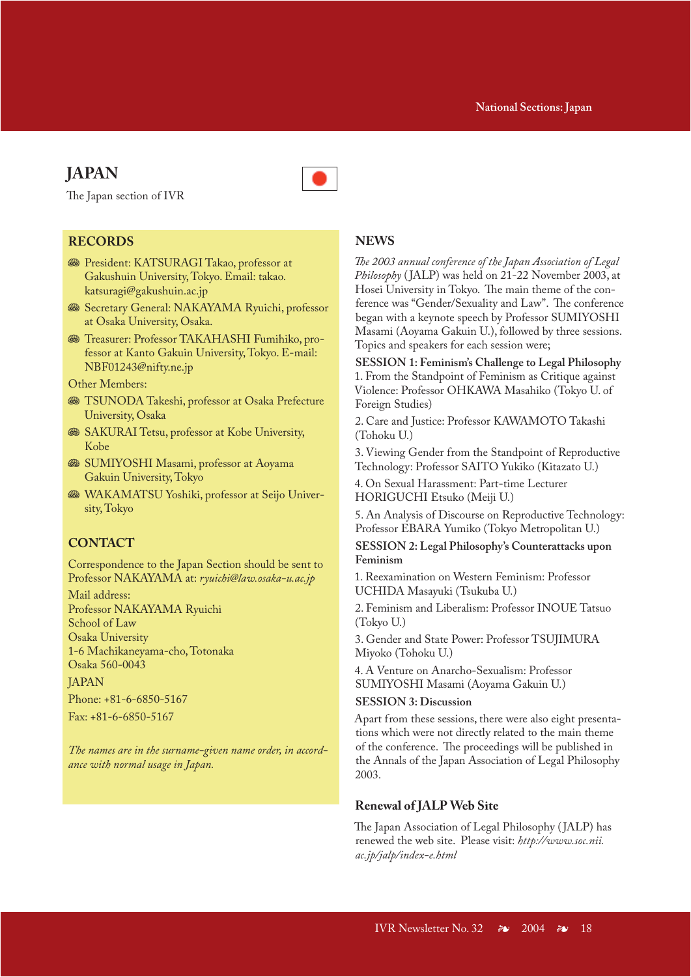# **JAPAN**

The Japan section of IVR

### **RECORDS**

- **S** President: KATSURAGI Takao, professor at Gakushuin University, Tokyo. Email: takao. katsuragi@gakushuin.ac.jp
- **Secretary General: NAKAYAMA Ryuichi, professor** at Osaka University, Osaka.
- **S** Treasurer: Professor TAKAHASHI Fumihiko, professor at Kanto Gakuin University, Tokyo. E-mail: NBF01243@nifty.ne.jp

Other Members:

- **WE TSUNODA Takeshi, professor at Osaka Prefecture** University, Osaka
- **SAKURAI Tetsu, professor at Kobe University,** Kobe
- **SUMIYOSHI Masami, professor at Aoyama** Gakuin University, Tokyo
- **WAKAMATSU Yoshiki, professor at Seijo Univer**sity, Tokyo

### **CONTACT**

Correspondence to the Japan Section should be sent to Professor NAKAYAMA at: *ryuichi@law.osaka-u.ac.jp*

Mail address: Professor NAKAYAMA Ryuichi School of Law Osaka University 1-6 Machikaneyama-cho, Totonaka Osaka 560-0043 **JAPAN** 

Phone: +81-6-6850-5167

Fax: +81-6-6850-5167

*The names are in the surname-given name order, in accordance with normal usage in Japan.*

### **NEWS**

*The 2003 annual conference of the Japan Association of Legal Philosophy* ( JALP) was held on 21-22 November 2003, at Hosei University in Tokyo. The main theme of the conference was "Gender/Sexuality and Law". The conference began with a keynote speech by Professor SUMIYOSHI Masami (Aoyama Gakuin U.), followed by three sessions. Topics and speakers for each session were;

**SESSION 1: Feminism's Challenge to Legal Philosophy** 1. From the Standpoint of Feminism as Critique against Violence: Professor OHKAWA Masahiko (Tokyo U. of Foreign Studies)

2. Care and Justice: Professor KAWAMOTO Takashi (Tohoku U.)

3. Viewing Gender from the Standpoint of Reproductive Technology: Professor SAITO Yukiko (Kitazato U.)

4. On Sexual Harassment: Part-time Lecturer HORIGUCHI Etsuko (Meiji U.)

5. An Analysis of Discourse on Reproductive Technology: Professor EBARA Yumiko (Tokyo Metropolitan U.)

**SESSION 2: Legal Philosophy's Counterattacks upon Feminism**

1. Reexamination on Western Feminism: Professor UCHIDA Masayuki (Tsukuba U.)

2. Feminism and Liberalism: Professor INOUE Tatsuo (Tokyo U.)

3. Gender and State Power: Professor TSUJIMURA Miyoko (Tohoku U.)

4. A Venture on Anarcho-Sexualism: Professor SUMIYOSHI Masami (Aoyama Gakuin U.)

### **SESSION 3: Discussion**

Apart from these sessions, there were also eight presentations which were not directly related to the main theme of the conference. The proceedings will be published in the Annals of the Japan Association of Legal Philosophy 2003.

### **Renewal of JALP Web Site**

The Japan Association of Legal Philosophy ( JALP) has renewed the web site. Please visit: *http://www.soc.nii. ac.jp/jalp/index-e.html*

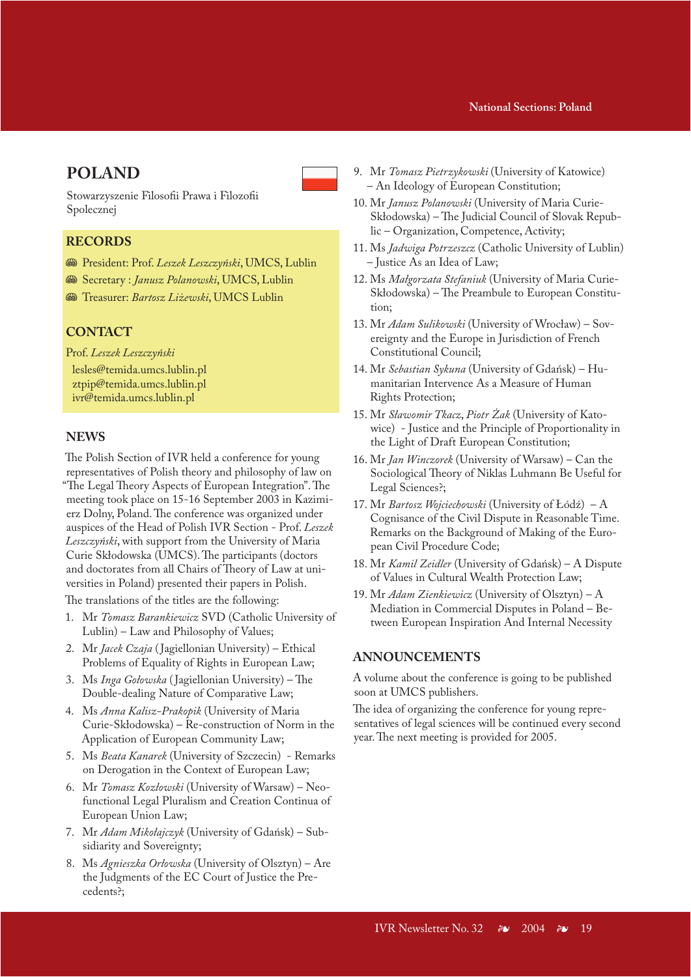### **IVR Announcements National Sections: Poland**

# **POLAND**

Stowarzyszenie Filosofii Prawa i Filozofii Spolecznej

### **RECORDS**

- J President: Prof. *Leszek Leszczyński*, UMCS, Lublin
- $\mathcal{B}$  Secretary : *Janusz Polanowski*, UMCS, Lublin
- J Treasurer: *Bartosz Liżewski*, UMCS Lublin

### **CONTACT**

Prof. *Leszek Leszczyński*

lesles@temida.umcs.lublin.pl ztpip@temida.umcs.lublin.pl ivr@temida.umcs.lublin.pl

### **NEWS**

The Polish Section of IVR held a conference for young representatives of Polish theory and philosophy of law on "The Legal Theory Aspects of European Integration". The meeting took place on 15-16 September 2003 in Kazimierz Dolny, Poland. The conference was organized under auspices of the Head of Polish IVR Section - Prof. *Leszek Leszczyński*, with support from the University of Maria Curie Skłodowska (UMCS). The participants (doctors and doctorates from all Chairs of Theory of Law at universities in Poland) presented their papers in Polish.

The translations of the titles are the following:

- 1. Mr *Tomasz Barankiewicz* SVD (Catholic University of Lublin) – Law and Philosophy of Values;
- 2. Mr *Jacek Czaja* ( Jagiellonian University) Ethical Problems of Equality of Rights in European Law;
- 3. Ms *Inga Gołowska* ( Jagiellonian University) The Double-dealing Nature of Comparative Law;
- 4. Ms *Anna Kalisz-Prakopik* (University of Maria Curie-Skłodowska) – Re-construction of Norm in the Application of European Community Law;
- 5. Ms *Beata Kanarek* (University of Szczecin) Remarks on Derogation in the Context of European Law;
- 6. Mr *Tomasz Kozłowski* (University of Warsaw) Neofunctional Legal Pluralism and Creation Continua of European Union Law;
- 7. Mr *Adam Mikołajczyk* (University of Gdańsk) Subsidiarity and Sovereignty;
- 8. Ms *Agnieszka Orłowska* (University of Olsztyn) Are the Judgments of the EC Court of Justice the Precedents?;
- 9. Mr *Tomasz Pietrzykowski* (University of Katowice) – An Ideology of European Constitution;
- 10. Mr *Janusz Polanowski* (University of Maria Curie-Skłodowska) – The Judicial Council of Slovak Republic – Organization, Competence, Activity;
- 11. Ms *Jadwiga Potrzeszcz* (Catholic University of Lublin) – Justice As an Idea of Law;
- 12. Ms *Małgorzata Stefaniuk* (University of Maria Curie-Skłodowska) – The Preambule to European Constitution;
- 13. Mr *Adam Sulikowski* (University of Wrocław) Sovereignty and the Europe in Jurisdiction of French Constitutional Council;
- 14. Mr *Sebastian Sykuna* (University of Gdańsk) Humanitarian Intervence As a Measure of Human Rights Protection;
- 15. Mr *Sławomir Tkacz*, *Piotr Żak* (University of Katowice) - Justice and the Principle of Proportionality in the Light of Draft European Constitution;
- 16. Mr *Jan Winczorek* (University of Warsaw) Can the Sociological Theory of Niklas Luhmann Be Useful for Legal Sciences?;
- 17. Mr *Bartosz Wojciechowski* (University of Łódź) A Cognisance of the Civil Dispute in Reasonable Time. Remarks on the Background of Making of the European Civil Procedure Code;
- 18. Mr *Kamil Zeidler* (University of Gdańsk) A Dispute of Values in Cultural Wealth Protection Law;
- 19. Mr *Adam Zienkiewicz* (University of Olsztyn) A Mediation in Commercial Disputes in Poland – Between European Inspiration And Internal Necessity

### **ANNOUNCEMENTS**

A volume about the conference is going to be published soon at UMCS publishers.

The idea of organizing the conference for young representatives of legal sciences will be continued every second year. The next meeting is provided for 2005.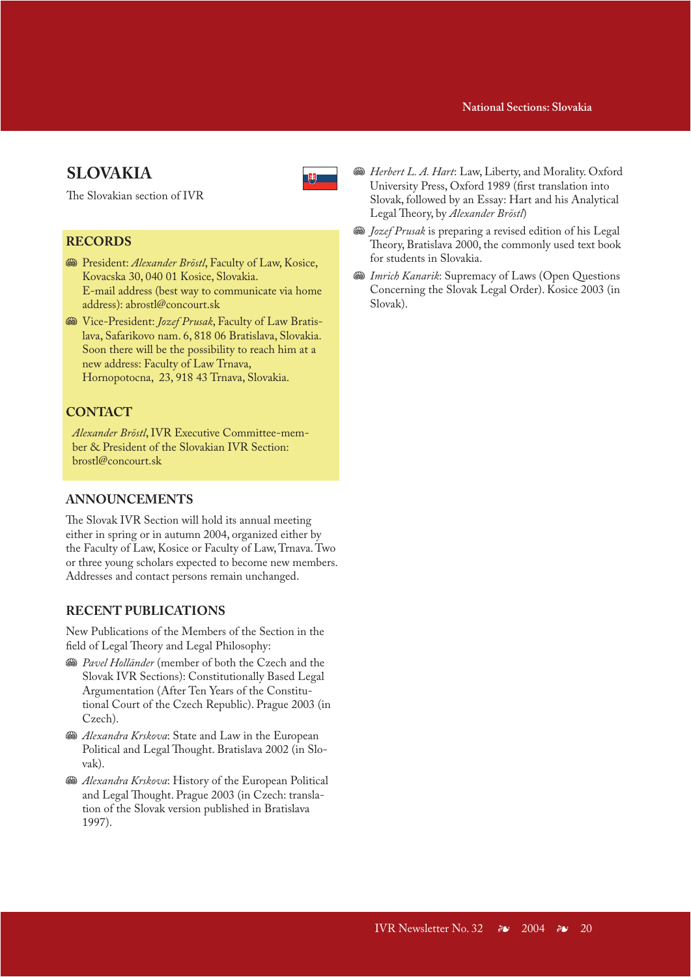### **IVR Announcements National Sections: Slovakia**

# **SLOVAKIA**



The Slovakian section of IVR

### **RECORDS**

- **Start**: *Alexander Bröstl*, Faculty of Law, Kosice, Kovacska 30, 040 01 Kosice, Slovakia. E-mail address (best way to communicate via home address): abrostl@concourt.sk
- J Vice-President: *Jozef Prusak*, Faculty of Law Bratislava, Safarikovo nam. 6, 818 06 Bratislava, Slovakia. Soon there will be the possibility to reach him at a new address: Faculty of Law Trnava, Hornopotocna, 23, 918 43 Trnava, Slovakia.

# **CONTACT**

*Alexander Bröstl*, IVR Executive Committee-member & President of the Slovakian IVR Section: brostl@concourt.sk

# **ANNOUNCEMENTS**

The Slovak IVR Section will hold its annual meeting either in spring or in autumn 2004, organized either by the Faculty of Law, Kosice or Faculty of Law, Trnava. Two or three young scholars expected to become new members. Addresses and contact persons remain unchanged.

# **RECENT PUBLICATIONS**

New Publications of the Members of the Section in the field of Legal Theory and Legal Philosophy:

- **We** Pavel Holländer (member of both the Czech and the Slovak IVR Sections): Constitutionally Based Legal Argumentation (After Ten Years of the Constitutional Court of the Czech Republic). Prague 2003 (in Czech).
- **S&** Alexandra Krskova: State and Law in the European Political and Legal Thought. Bratislava 2002 (in Slovak).
- **S&** Alexandra Krskova: History of the European Political and Legal Thought. Prague 2003 (in Czech: translation of the Slovak version published in Bratislava 1997).
- **W** Herbert L. A. Hart: Law, Liberty, and Morality. Oxford University Press, Oxford 1989 (first translation into Slovak, followed by an Essay: Hart and his Analytical Legal Theory, by *Alexander Bröstl*)
- **Subset Prusak** is preparing a revised edition of his Legal Theory, Bratislava 2000, the commonly used text book for students in Slovakia.
- **We Imrich Kanarik: Supremacy of Laws (Open Questions** Concerning the Slovak Legal Order). Kosice 2003 (in Slovak).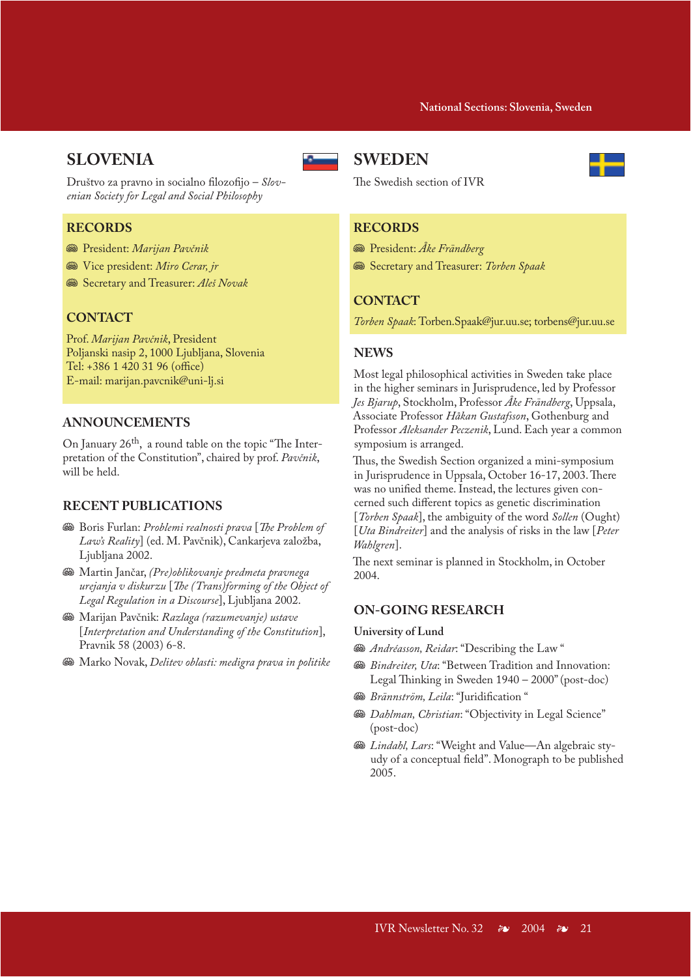# **SLOVENIA**



Društvo za pravno in socialno filozofijo – *Slovenian Society for Legal and Social Philosophy*

# **RECORDS**

- J President: *Marijan Pavčnik*
- $\mathcal{F}$  Vice president: *Miro Cerar, jr*
- **Secretary and Treasurer: Aleš Novak**

### **CONTACT**

Prof. *Marijan Pavčnik*, President Poljanski nasip 2, 1000 Ljubljana, Slovenia Tel: +386 1 420 31 96 (office) E-mail: marijan.pavcnik@uni-lj.si

### **ANNOUNCEMENTS**

On January 26th, a round table on the topic "The Interpretation of the Constitution", chaired by prof. *Pavčnik*, will be held.

### **RECENT PUBLICATIONS**

- J Boris Furlan: *Problemi realnosti prava* [*The Problem of Law's Reality*] (ed. M. Pavčnik), Cankarjeva založba, Ljubljana 2002.
- J Martin Jančar, *(Pre)oblikovanje predmeta pravnega urejanja v diskurzu* [*The (Trans)forming of the Object of Legal Regulation in a Discourse*], Ljubljana 2002.
- J Marijan Pavčnik: *Razlaga (razumevanje) ustave* [*Interpretation and Understanding of the Constitution*], Pravnik 58 (2003) 6-8.
- **<sup>38</sup>** Marko Novak, *Delitev oblasti: medigra prava in politike*

# **SWEDEN**



The Swedish section of IVR

### **RECORDS**

- J President: *Åke Frändberg*
- $\circledast$  Secretary and Treasurer: *Torben Spaak*

### **CONTACT**

*Torben Spaak*: Torben.Spaak@jur.uu.se; torbens@jur.uu.se

### **NEWS**

Most legal philosophical activities in Sweden take place in the higher seminars in Jurisprudence, led by Professor *Jes Bjarup*, Stockholm, Professor *Åke Frändberg*, Uppsala, Associate Professor *Håkan Gustafsson*, Gothenburg and Professor *Aleksander Peczenik*, Lund. Each year a common symposium is arranged.

Thus, the Swedish Section organized a mini-symposium in Jurisprudence in Uppsala, October 16-17, 2003. There was no unified theme. Instead, the lectures given concerned such different topics as genetic discrimination [*Torben Spaak*], the ambiguity of the word *Sollen* (Ought) [*Uta Bindreiter*] and the analysis of risks in the law [*Peter Wahlgren*].

The next seminar is planned in Stockholm, in October 2004.

### **ON-GOING RESEARCH**

#### **University of Lund**

 $\mathcal{B}$  *Andréasson, Reidar*: "Describing the Law"

- **<sup>38</sup>** *Bindreiter, Uta*: "Between Tradition and Innovation: Legal Thinking in Sweden 1940 – 2000" (post-doc)
- $\mathcal{B}$  *Brännström, Leila*: "Juridification "
- **<sup>38</sup>** *Dahlman, Christian*: "Objectivity in Legal Science" (post-doc)
- **& Lindahl, Lars: "Weight and Value—An algebraic sty**udy of a conceptual field". Monograph to be published 2005.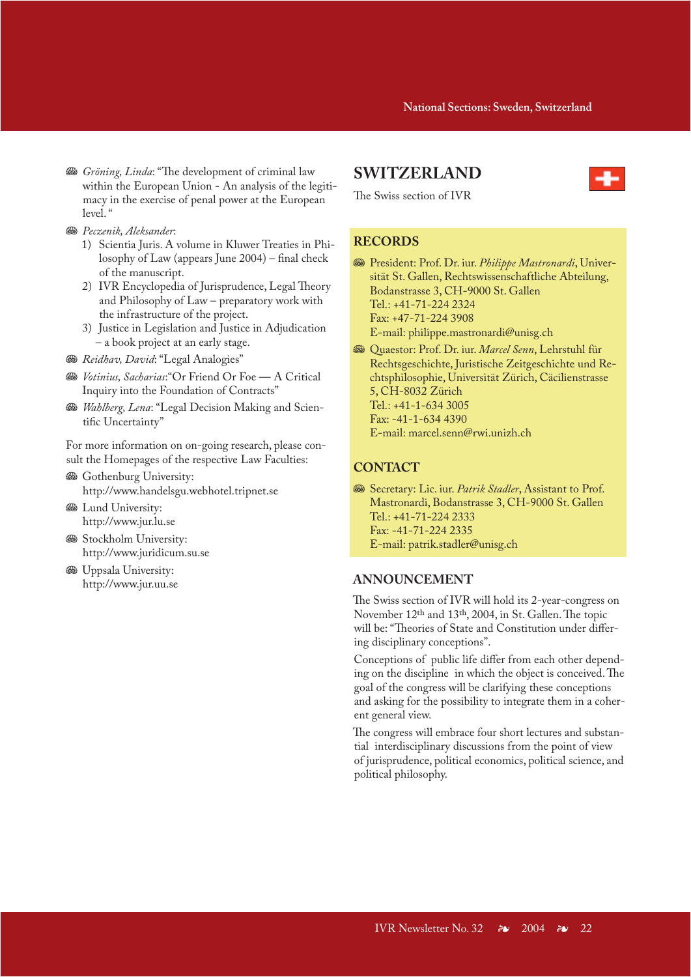- **Solution** *Gröning, Linda*: "The development of criminal law within the European Union - An analysis of the legitimacy in the exercise of penal power at the European  $level<sup>''</sup>$
- **<sup>58</sup>** *Peczenik*, *Aleksander*:
	- 1) Scientia Juris. A volume in Kluwer Treaties in Philosophy of Law (appears June 2004) – final check of the manuscript.
	- 2) IVR Encyclopedia of Jurisprudence, Legal Theory and Philosophy of Law – preparatory work with the infrastructure of the project.
	- 3) Justice in Legislation and Justice in Adjudication – a book project at an early stage.
- **<sup>38</sup>** Reidhav, David: "Legal Analogies"
- **S** *Votinius, Sacharias*: "Or Friend Or Foe A Critical Inquiry into the Foundation of Contracts"
- **Wahlberg, Lena: "Legal Decision Making and Scien**tific Uncertainty"

For more information on on-going research, please consult the Homepages of the respective Law Faculties:

- **S** Gothenburg University: http://www.handelsgu.webhotel.tripnet.se
- **S** Lund University: http://www.jur.lu.se
- **Stockholm University:** http://www.juridicum.su.se
- **S** Uppsala University: http://www.jur.uu.se

### **SWITZERLAND**



The Swiss section of IVR

# **RECORDS**

J President: Prof. Dr. iur. *Philippe Mastronardi*, Universität St. Gallen, Rechtswissenschaftliche Abteilung, Bodanstrasse 3, CH-9000 St. Gallen Tel.: +41-71-224 2324 Fax: +47-71-224 3908

E-mail: philippe.mastronardi@unisg.ch

J Quaestor: Prof. Dr. iur. *Marcel Senn*, Lehrstuhl für Rechtsgeschichte, Juristische Zeitgeschichte und Rechtsphilosophie, Universität Zürich, Cäcilienstrasse 5, CH-8032 Zürich Tel.: +41-1-634 3005 Fax: -41-1-634 4390 E-mail: marcel.senn@rwi.unizh.ch

# **CONTACT**

 $\circledast$  Secretary: Lic. iur. *Patrik Stadler*, Assistant to Prof. Mastronardi, Bodanstrasse 3, CH-9000 St. Gallen Tel.: +41-71-224 2333 Fax: -41-71-224 2335 E-mail: patrik.stadler@unisg.ch

### **ANNOUNCEMENT**

The Swiss section of IVR will hold its 2-year-congress on November 12th and 13th, 2004, in St. Gallen. The topic will be: "Theories of State and Constitution under differing disciplinary conceptions".

Conceptions of public life differ from each other depending on the discipline in which the object is conceived. The goal of the congress will be clarifying these conceptions and asking for the possibility to integrate them in a coherent general view.

The congress will embrace four short lectures and substantial interdisciplinary discussions from the point of view of jurisprudence, political economics, political science, and political philosophy.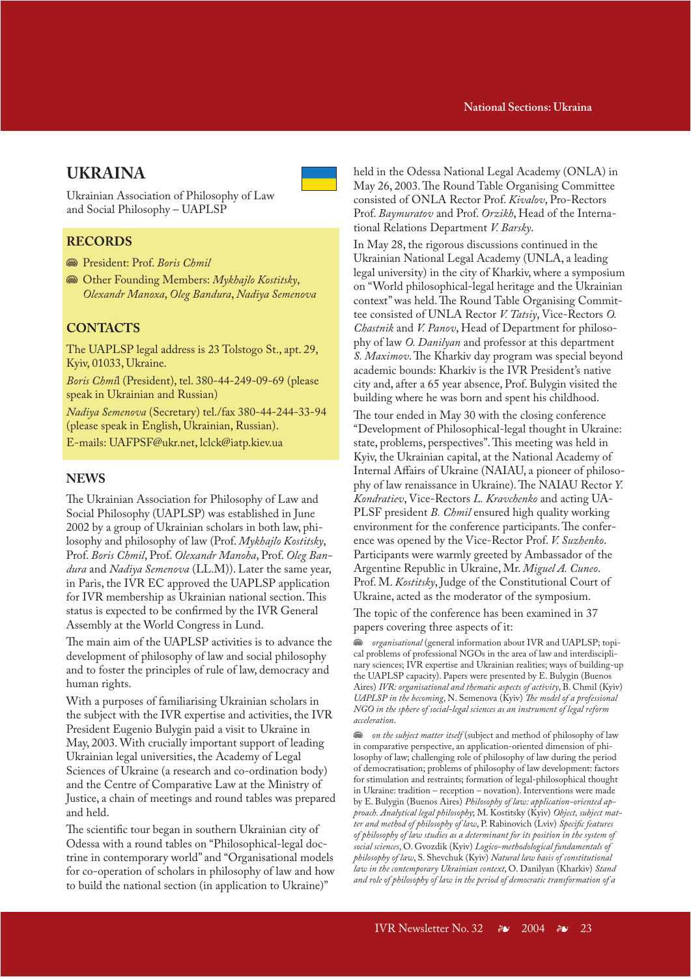# **UKRAINA**

Ukrainian Association of Philosophy of Law and Social Philosophy – UAPLSP

### **RECORDS**

**Start: Prof. Boris Chmil** 

**<sup>38</sup>** Other Founding Members: *Mykhajlo Kostitsky*, *Olexandr Manoxa*, *Oleg Bandura*, *Nadiya Semenova*

# **CONTACTS**

The UAPLSP legal address is 23 Tolstogo St., apt. 29, Kyiv, 01033, Ukraine.

*Boris Chmi*l (President), tel. 380-44-249-09-69 (please speak in Ukrainian and Russian)

*Nadiya Semenova* (Secretary) tel./fax 380-44-244-33-94 (please speak in English, Ukrainian, Russian).

E-mails: UAFPSF@ukr.net, lclck@iatp.kiev.ua

### **NEWS**

The Ukrainian Association for Philosophy of Law and Social Philosophy (UAPLSP) was established in June 2002 by a group of Ukrainian scholars in both law, philosophy and philosophy of law (Prof. *Mykhajlo Kostitsky*, Prof. *Boris Chmil*, Prof. *Olexandr Manoha*, Prof. *Oleg Bandura* and *Nadiya Semenova* (LL.M)). Later the same year, in Paris, the IVR EC approved the UAPLSP application for IVR membership as Ukrainian national section. This status is expected to be confirmed by the IVR General Assembly at the World Congress in Lund.

The main aim of the UAPLSP activities is to advance the development of philosophy of law and social philosophy and to foster the principles of rule of law, democracy and human rights.

With a purposes of familiarising Ukrainian scholars in the subject with the IVR expertise and activities, the IVR President Eugenio Bulygin paid a visit to Ukraine in May, 2003. With crucially important support of leading Ukrainian legal universities, the Academy of Legal Sciences of Ukraine (a research and co-ordination body) and the Centre of Comparative Law at the Ministry of Justice, a chain of meetings and round tables was prepared and held.

The scientific tour began in southern Ukrainian city of Odessa with a round tables on "Philosophical-legal doctrine in contemporary world" and "Organisational models for co-operation of scholars in philosophy of law and how to build the national section (in application to Ukraine)"

held in the Odessa National Legal Academy (ONLA) in May 26, 2003. The Round Table Organising Committee consisted of ONLA Rector Prof. *Kivalov*, Pro-Rectors Prof. *Baymuratov* and Prof. *Orzikh*, Head of the International Relations Department *V. Barsky*.

In May 28, the rigorous discussions continued in the Ukrainian National Legal Academy (UNLA, a leading legal university) in the city of Kharkiv, where a symposium on "World philosophical-legal heritage and the Ukrainian context" was held. The Round Table Organising Committee consisted of UNLA Rector *V. Tatsiy*, Vice-Rectors *O. Chastnik* and *V. Panov*, Head of Department for philosophy of law *O. Danilyan* and professor at this department *S. Maximov*. The Kharkiv day program was special beyond academic bounds: Kharkiv is the IVR President's native city and, after a 65 year absence, Prof. Bulygin visited the building where he was born and spent his childhood.

The tour ended in May 30 with the closing conference "Development of Philosophical-legal thought in Ukraine: state, problems, perspectives". This meeting was held in Kyiv, the Ukrainian capital, at the National Academy of Internal Affairs of Ukraine (NAIAU, a pioneer of philosophy of law renaissance in Ukraine). The NAIAU Rector *Y. Kondratiev*, Vice-Rectors *L. Kravchenko* and acting UA-PLSF president *B. Chmil* ensured high quality working environment for the conference participants. The conference was opened by the Vice-Rector Prof. *V. Suzhenko*. Participants were warmly greeted by Ambassador of the Argentine Republic in Ukraine, Mr. *Miguel A. Cuneo*. Prof. M. *Kostitsky*, Judge of the Constitutional Court of Ukraine, acted as the moderator of the symposium.

The topic of the conference has been examined in 37 papers covering three aspects of it:

J *organisational* (general information about IVR and UAPLSP; topical problems of professional NGOs in the area of law and interdisciplinary sciences; IVR expertise and Ukrainian realities; ways of building-up the UAPLSP capacity). Papers were presented by E. Bulygin (Buenos Aires) *IVR: organisational and thematic aspects of activity*, B. Chmil (Kyiv) *UAPLSP in the becoming*, N. Semenova (Kyiv) *The model of a professional NGO in the sphere of social-legal sciences as an instrument of legal reform acceleration*.

 $\bullet$  on the subject matter itself (subject and method of philosophy of law in comparative perspective, an application-oriented dimension of philosophy of law; challenging role of philosophy of law during the period of democratisation; problems of philosophy of law development: factors for stimulation and restraints; formation of legal-philosophical thought in Ukraine: tradition – reception – novation). Interventions were made by E. Bulygin (Buenos Aires) *Philosophy of law: application-oriented approach. Analytical legal philosophy*; M. Kostitsky (Kyiv) *Object, subject matter and method of philosophy of law*, P. Rabinovich (Lviv) *Specific features of philosophy of law studies as a determinant for its position in the system of social sciences*, O. Gvozdik (Kyiv) *Logico-methodological fundamentals of philosophy of law*, S. Shevchuk (Kyiv) *Natural law basis of constitutional law in the contemporary Ukrainian context*, O. Danilyan (Kharkiv) *Stand and role of philosophy of law in the period of democratic transformation of a*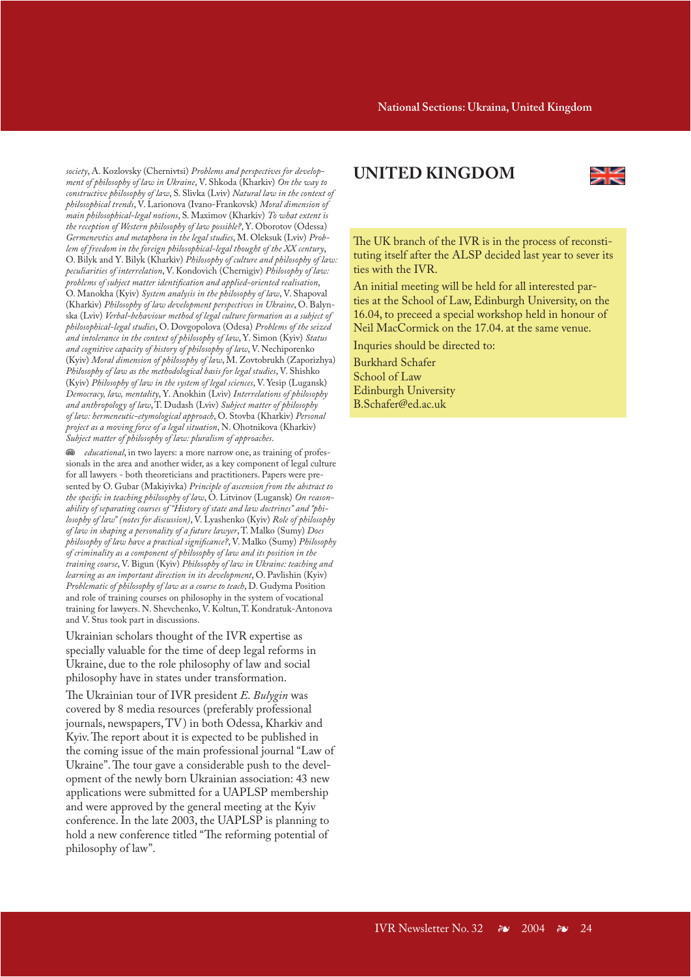*society*, A. Kozlovsky (Chernivtsi) *Problems and perspectives for development of philosophy of law in Ukraine*, V. Shkoda (Kharkiv) *On the way to constructive philosophy of law*, S. Slivka (Lviv) *Natural law in the context of philosophical trends*, V. Larionova (Ivano-Frankovsk) *Moral dimension of main philosophical-legal notions*, S. Maximov (Kharkiv) *To what extent is the reception of Western philosophy of law possible?*, Y. Oborotov (Odessa) *Germenevtics and metaphora in the legal studies*, M. Oleksuk (Lviv) *Problem of freedom in the foreign philosophical-legal thought of the XX century*, O. Bilyk and Y. Bilyk (Kharkiv) *Philosophy of culture and philosophy of law: peculiarities of interrelation*, V. Kondovich (Chernigiv) *Philosophy of law: problems of subject matter identification and applied-oriented realisation*, O. Manokha (Kyiv) *System analysis in the philosophy of law*, V. Shapoval (Kharkiv) *Philosophy of law development perspectives in Ukraine*, O. Balynska (Lviv) *Verbal-behaviour method of legal culture formation as a subject of philosophical-legal studies*, O. Dovgopolova (Odesa) *Problems of the seized and intolerance in the context of philosophy of law*, Y. Simon (Kyiv) *Status and cognitive capacity of history of philosophy of law*, V. Nechiporenko (Kyiv) *Moral dimension of philosophy of law*, M. Zovtobrukh (Zaporizhya) *Philosophy of law as the methodological basis for legal studies*, V. Shishko (Kyiv) *Philosophy of law in the system of legal sciences*, V. Yesip (Lugansk) *Democracy, law, mentality*, Y. Anokhin (Lviv) *Interrelations of philosophy and anthropology of law*, T. Dudash (Lviv) *Subject matter of philosophy of law: hermeneutic-etymological approach*, O. Stovba (Kharkiv) *Personal project as a moving force of a legal situation*, N. Ohotnikova (Kharkiv) *Subject matter of philosophy of law: pluralism of approaches*.

J *educational*, in two layers: a more narrow one, as training of professionals in the area and another wider, as a key component of legal culture for all lawyers - both theoreticians and practitioners. Papers were presented by O. Gubar (Makiyivka) *Principle of ascension from the abstract to the specific in teaching philosophy of law*, O. Litvinov (Lugansk) *On reasonability of separating courses of "History of state and law doctrines" and "philosophy of law" (notes for discussion)*, V. Lyashenko (Kyiv) *Role of philosophy of law in shaping a personality of a future lawyer*, T. Malko (Sumy) *Does philosophy of law have a practical significance?*, V. Malko (Sumy) *Philosophy of criminality as a component of philosophy of law and its position in the training course*, V. Bigun (Kyiv) *Philosophy of law in Ukraine: teaching and learning as an important direction in its development*, O. Pavlishin (Kyiv) *Problematic of philosophy of law as a course to teach*, D. Gudyma Position and role of training courses on philosophy in the system of vocational training for lawyers. N. Shevchenko, V. Koltun, T. Kondratuk-Antonova and V. Stus took part in discussions.

Ukrainian scholars thought of the IVR expertise as specially valuable for the time of deep legal reforms in Ukraine, due to the role philosophy of law and social philosophy have in states under transformation.

The Ukrainian tour of IVR president *E. Bulygin* was covered by 8 media resources (preferably professional journals, newspapers, TV) in both Odessa, Kharkiv and Kyiv. The report about it is expected to be published in the coming issue of the main professional journal "Law of Ukraine". The tour gave a considerable push to the development of the newly born Ukrainian association: 43 new applications were submitted for a UAPLSP membership and were approved by the general meeting at the Kyiv conference. In the late 2003, the UAPLSP is planning to hold a new conference titled "The reforming potential of philosophy of law".

# **UNITED KINGDOM**



The UK branch of the IVR is in the process of reconstituting itself after the ALSP decided last year to sever its ties with the IVR.

An initial meeting will be held for all interested parties at the School of Law, Edinburgh University, on the 16.04, to preceed a special workshop held in honour of Neil MacCormick on the 17.04. at the same venue.

Inquries should be directed to: Burkhard Schafer School of Law Edinburgh University B.Schafer@ed.ac.uk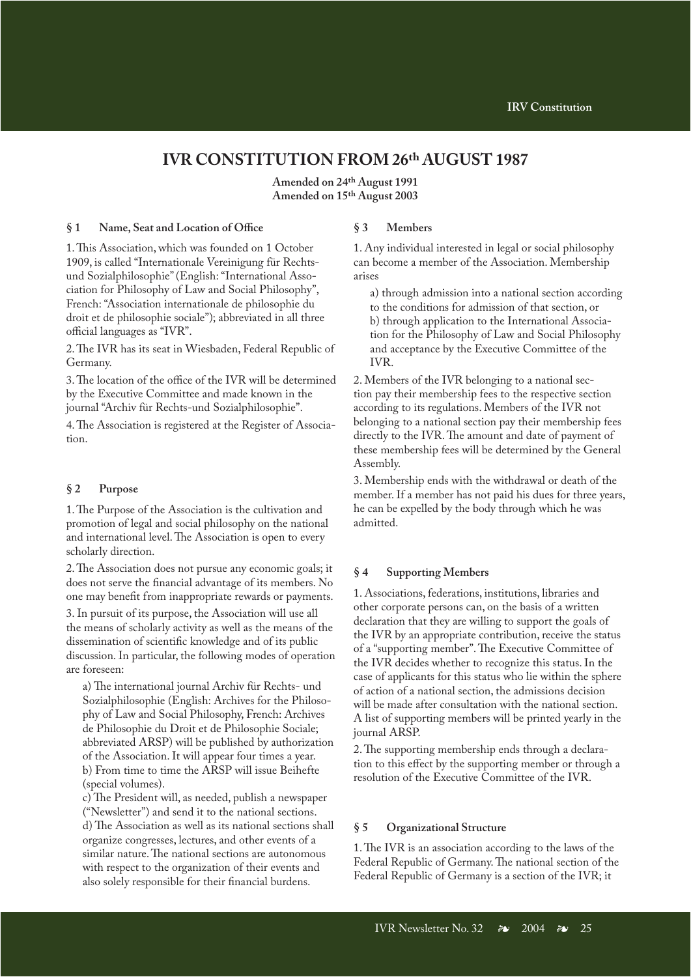# **IVR CONSTITUTION FROM 26th AUGUST 1987**

**Amended on 24th August 1991 Amended on 15th August 2003**

#### **§ 1 Name, Seat and Location of Office**

1. This Association, which was founded on 1 October 1909, is called "Internationale Vereinigung für Rechtsund Sozialphilosophie" (English: "International Association for Philosophy of Law and Social Philosophy", French: "Association internationale de philosophie du droit et de philosophie sociale"); abbreviated in all three official languages as "IVR".

2. The IVR has its seat in Wiesbaden, Federal Republic of Germany.

3. The location of the office of the IVR will be determined by the Executive Committee and made known in the journal "Archiv für Rechts-und Sozialphilosophie".

4. The Association is registered at the Register of Association.

### **§ 2 Purpose**

1. The Purpose of the Association is the cultivation and promotion of legal and social philosophy on the national and international level. The Association is open to every scholarly direction.

2. The Association does not pursue any economic goals; it does not serve the financial advantage of its members. No one may benefit from inappropriate rewards or payments.

3. In pursuit of its purpose, the Association will use all the means of scholarly activity as well as the means of the dissemination of scientific knowledge and of its public discussion. In particular, the following modes of operation are foreseen:

a) The international journal Archiv für Rechts- und Sozialphilosophie (English: Archives for the Philosophy of Law and Social Philosophy, French: Archives de Philosophie du Droit et de Philosophie Sociale; abbreviated ARSP) will be published by authorization of the Association. It will appear four times a year. b) From time to time the ARSP will issue Beihefte (special volumes).

c) The President will, as needed, publish a newspaper ("Newsletter") and send it to the national sections. d) The Association as well as its national sections shall organize congresses, lectures, and other events of a similar nature. The national sections are autonomous with respect to the organization of their events and also solely responsible for their financial burdens.

### **§ 3 Members**

1. Any individual interested in legal or social philosophy can become a member of the Association. Membership arises

a) through admission into a national section according to the conditions for admission of that section, or b) through application to the International Association for the Philosophy of Law and Social Philosophy and acceptance by the Executive Committee of the IVR.

2. Members of the IVR belonging to a national section pay their membership fees to the respective section according to its regulations. Members of the IVR not belonging to a national section pay their membership fees directly to the IVR. The amount and date of payment of these membership fees will be determined by the General Assembly.

3. Membership ends with the withdrawal or death of the member. If a member has not paid his dues for three years, he can be expelled by the body through which he was admitted.

#### **§ 4 Supporting Members**

1. Associations, federations, institutions, libraries and other corporate persons can, on the basis of a written declaration that they are willing to support the goals of the IVR by an appropriate contribution, receive the status of a "supporting member". The Executive Committee of the IVR decides whether to recognize this status. In the case of applicants for this status who lie within the sphere of action of a national section, the admissions decision will be made after consultation with the national section. A list of supporting members will be printed yearly in the journal ARSP.

2. The supporting membership ends through a declaration to this effect by the supporting member or through a resolution of the Executive Committee of the IVR.

#### **§ 5 Organizational Structure**

1. The IVR is an association according to the laws of the Federal Republic of Germany. The national section of the Federal Republic of Germany is a section of the IVR; it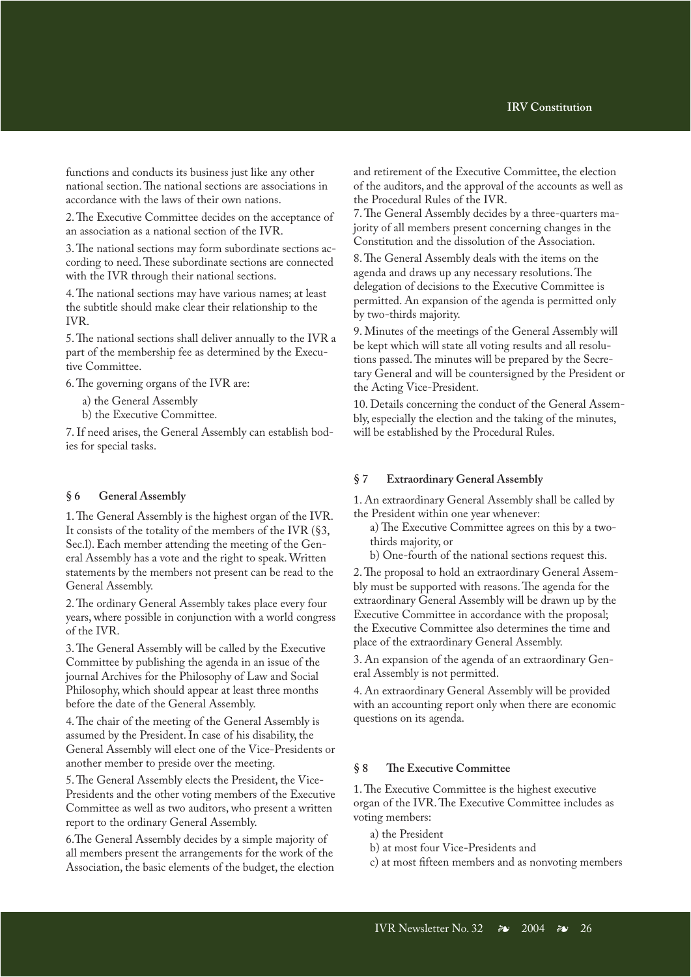functions and conducts its business just like any other national section. The national sections are associations in accordance with the laws of their own nations.

2. The Executive Committee decides on the acceptance of an association as a national section of the IVR.

3. The national sections may form subordinate sections according to need. These subordinate sections are connected with the IVR through their national sections.

4. The national sections may have various names; at least the subtitle should make clear their relationship to the IVR.

5. The national sections shall deliver annually to the IVR a part of the membership fee as determined by the Executive Committee.

6. The governing organs of the IVR are:

a) the General Assembly

b) the Executive Committee.

7. If need arises, the General Assembly can establish bodies for special tasks.

#### **§ 6 General Assembly**

1. The General Assembly is the highest organ of the IVR. It consists of the totality of the members of the IVR (§3, Sec.l). Each member attending the meeting of the General Assembly has a vote and the right to speak. Written statements by the members not present can be read to the General Assembly.

2. The ordinary General Assembly takes place every four years, where possible in conjunction with a world congress of the IVR.

3. The General Assembly will be called by the Executive Committee by publishing the agenda in an issue of the journal Archives for the Philosophy of Law and Social Philosophy, which should appear at least three months before the date of the General Assembly.

4. The chair of the meeting of the General Assembly is assumed by the President. In case of his disability, the General Assembly will elect one of the Vice-Presidents or another member to preside over the meeting.

5. The General Assembly elects the President, the Vice-Presidents and the other voting members of the Executive Committee as well as two auditors, who present a written report to the ordinary General Assembly.

6.The General Assembly decides by a simple majority of all members present the arrangements for the work of the Association, the basic elements of the budget, the election and retirement of the Executive Committee, the election of the auditors, and the approval of the accounts as well as the Procedural Rules of the IVR.

7. The General Assembly decides by a three-quarters majority of all members present concerning changes in the Constitution and the dissolution of the Association.

8. The General Assembly deals with the items on the agenda and draws up any necessary resolutions. The delegation of decisions to the Executive Committee is permitted. An expansion of the agenda is permitted only by two-thirds majority.

9. Minutes of the meetings of the General Assembly will be kept which will state all voting results and all resolutions passed. The minutes will be prepared by the Secretary General and will be countersigned by the President or the Acting Vice-President.

10. Details concerning the conduct of the General Assembly, especially the election and the taking of the minutes, will be established by the Procedural Rules.

### **§ 7 Extraordinary General Assembly**

1. An extraordinary General Assembly shall be called by the President within one year whenever:

- a) The Executive Committee agrees on this by a twothirds majority, or
- b) One-fourth of the national sections request this.

2. The proposal to hold an extraordinary General Assembly must be supported with reasons. The agenda for the extraordinary General Assembly will be drawn up by the Executive Committee in accordance with the proposal; the Executive Committee also determines the time and place of the extraordinary General Assembly.

3. An expansion of the agenda of an extraordinary General Assembly is not permitted.

4. An extraordinary General Assembly will be provided with an accounting report only when there are economic questions on its agenda.

### **§ 8 The Executive Committee**

1. The Executive Committee is the highest executive organ of the IVR. The Executive Committee includes as voting members:

- a) the President
- b) at most four Vice-Presidents and
- c) at most fifteen members and as nonvoting members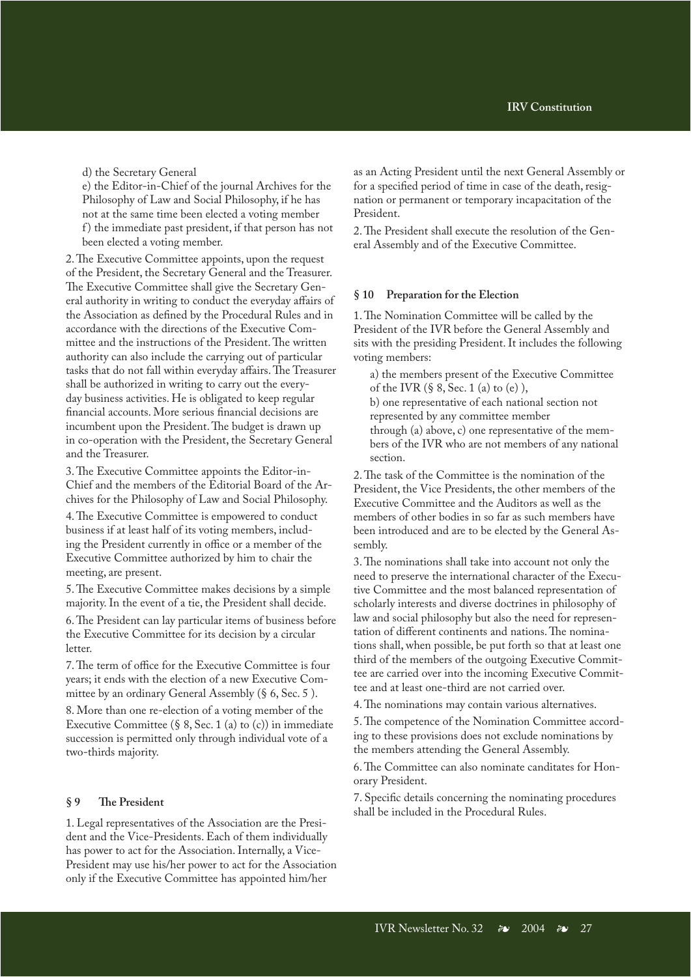d) the Secretary General

e) the Editor-in-Chief of the journal Archives for the Philosophy of Law and Social Philosophy, if he has not at the same time been elected a voting member f) the immediate past president, if that person has not been elected a voting member.

2. The Executive Committee appoints, upon the request of the President, the Secretary General and the Treasurer. The Executive Committee shall give the Secretary General authority in writing to conduct the everyday affairs of the Association as defined by the Procedural Rules and in accordance with the directions of the Executive Committee and the instructions of the President. The written authority can also include the carrying out of particular tasks that do not fall within everyday affairs. The Treasurer shall be authorized in writing to carry out the everyday business activities. He is obligated to keep regular financial accounts. More serious financial decisions are incumbent upon the President. The budget is drawn up in co-operation with the President, the Secretary General and the Treasurer.

3. The Executive Committee appoints the Editor-in-Chief and the members of the Editorial Board of the Archives for the Philosophy of Law and Social Philosophy.

4. The Executive Committee is empowered to conduct business if at least half of its voting members, including the President currently in office or a member of the Executive Committee authorized by him to chair the meeting, are present.

5. The Executive Committee makes decisions by a simple majority. In the event of a tie, the President shall decide.

6. The President can lay particular items of business before the Executive Committee for its decision by a circular letter.

7. The term of office for the Executive Committee is four years; it ends with the election of a new Executive Committee by an ordinary General Assembly (§ 6, Sec. 5 ).

8. More than one re-election of a voting member of the Executive Committee  $(§ 8, Sec. 1 (a) to (c))$  in immediate succession is permitted only through individual vote of a two-thirds majority.

### **§ 9 The President**

1. Legal representatives of the Association are the President and the Vice-Presidents. Each of them individually has power to act for the Association. Internally, a Vice-President may use his/her power to act for the Association only if the Executive Committee has appointed him/her

as an Acting President until the next General Assembly or for a specified period of time in case of the death, resignation or permanent or temporary incapacitation of the President.

2. The President shall execute the resolution of the General Assembly and of the Executive Committee.

#### **§ 10 Preparation for the Election**

1. The Nomination Committee will be called by the President of the IVR before the General Assembly and sits with the presiding President. It includes the following voting members:

a) the members present of the Executive Committee of the IVR  $(\S 8, \text{Sec. 1 (a) to (e)}),$ b) one representative of each national section not

represented by any committee member

through (a) above, c) one representative of the members of the IVR who are not members of any national section.

2. The task of the Committee is the nomination of the President, the Vice Presidents, the other members of the Executive Committee and the Auditors as well as the members of other bodies in so far as such members have been introduced and are to be elected by the General Assembly.

3. The nominations shall take into account not only the need to preserve the international character of the Executive Committee and the most balanced representation of scholarly interests and diverse doctrines in philosophy of law and social philosophy but also the need for representation of different continents and nations. The nominations shall, when possible, be put forth so that at least one third of the members of the outgoing Executive Committee are carried over into the incoming Executive Committee and at least one-third are not carried over.

4. The nominations may contain various alternatives.

5. The competence of the Nomination Committee according to these provisions does not exclude nominations by the members attending the General Assembly.

6. The Committee can also nominate canditates for Honorary President.

7. Specific details concerning the nominating procedures shall be included in the Procedural Rules.